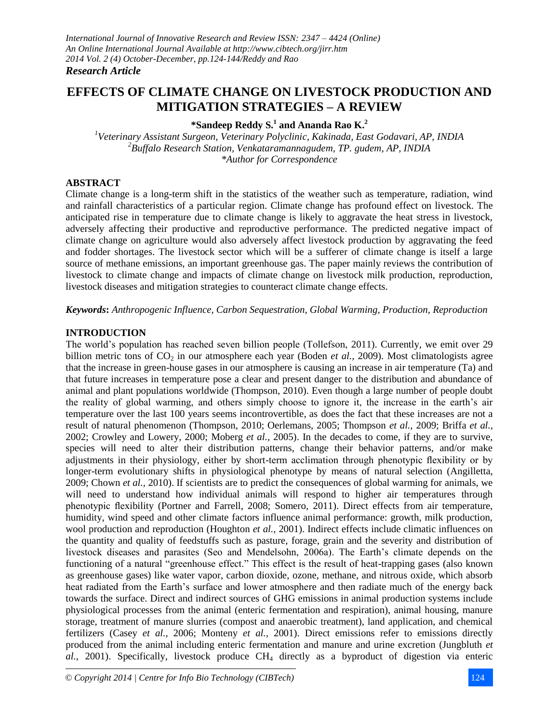# **EFFECTS OF CLIMATE CHANGE ON LIVESTOCK PRODUCTION AND MITIGATION STRATEGIES – A REVIEW**

**\*Sandeep Reddy S. 1 and Ananda Rao K. 2**

*<sup>1</sup>Veterinary Assistant Surgeon, Veterinary Polyclinic, Kakinada, East Godavari, AP, INDIA <sup>2</sup>Buffalo Research Station, Venkataramannagudem, TP. gudem, AP, INDIA \*Author for Correspondence*

### **ABSTRACT**

Climate change is a long-term shift in the statistics of the weather such as temperature, radiation, wind and rainfall characteristics of a particular region. Climate change has profound effect on livestock. The anticipated rise in temperature due to climate change is likely to aggravate the heat stress in livestock, adversely affecting their productive and reproductive performance. The predicted negative impact of climate change on agriculture would also adversely affect livestock production by aggravating the feed and fodder shortages. The livestock sector which will be a sufferer of climate change is itself a large source of methane emissions, an important greenhouse gas. The paper mainly reviews the contribution of livestock to climate change and impacts of climate change on livestock milk production, reproduction, livestock diseases and mitigation strategies to counteract climate change effects.

*Keywords***:** *Anthropogenic Influence, Carbon Sequestration, Global Warming, Production, Reproduction*

#### **INTRODUCTION**

The world's population has reached seven billion people (Tollefson, 2011). Currently, we emit over 29 billion metric tons of  $CO<sub>2</sub>$  in our atmosphere each year (Boden *et al.*, 2009). Most climatologists agree that the increase in green-house gases in our atmosphere is causing an increase in air temperature (Ta) and that future increases in temperature pose a clear and present danger to the distribution and abundance of animal and plant populations worldwide (Thompson, 2010). Even though a large number of people doubt the reality of global warming, and others simply choose to ignore it, the increase in the earth's air temperature over the last 100 years seems incontrovertible, as does the fact that these increases are not a result of natural phenomenon (Thompson, 2010; Oerlemans, 2005; Thompson *et al.,* 2009; Briffa *et al.,*  2002; Crowley and Lowery, 2000; Moberg *et al.,* 2005). In the decades to come, if they are to survive, species will need to alter their distribution patterns, change their behavior patterns, and/or make adjustments in their physiology, either by short-term acclimation through phenotypic flexibility or by longer-term evolutionary shifts in physiological phenotype by means of natural selection (Angilletta, 2009; Chown *et al.,* 2010). If scientists are to predict the consequences of global warming for animals, we will need to understand how individual animals will respond to higher air temperatures through phenotypic flexibility (Portner and Farrell, 2008; Somero, 2011). Direct effects from air temperature, humidity, wind speed and other climate factors influence animal performance: growth, milk production, wool production and reproduction (Houghton *et al.,* 2001). Indirect effects include climatic influences on the quantity and quality of feedstuffs such as pasture, forage, grain and the severity and distribution of livestock diseases and parasites (Seo and Mendelsohn, 2006a). The Earth's climate depends on the functioning of a natural "greenhouse effect." This effect is the result of heat-trapping gases (also known as greenhouse gases) like water vapor, carbon dioxide, ozone, methane, and nitrous oxide, which absorb heat radiated from the Earth's surface and lower atmosphere and then radiate much of the energy back towards the surface. Direct and indirect sources of GHG emissions in animal production systems include physiological processes from the animal (enteric fermentation and respiration), animal housing, manure storage, treatment of manure slurries (compost and anaerobic treatment), land application, and chemical fertilizers (Casey *et al.,* 2006; Monteny *et al.,* 2001). Direct emissions refer to emissions directly produced from the animal including enteric fermentation and manure and urine excretion (Jungbluth *et*  al., 2001). Specifically, livestock produce CH<sub>4</sub> directly as a byproduct of digestion via enteric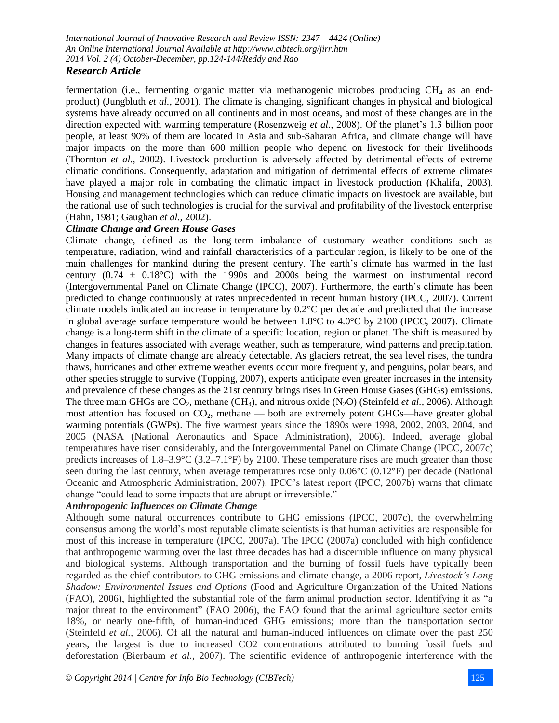# *Research Article*

fermentation (i.e., fermenting organic matter via methanogenic microbes producing CH<sub>4</sub> as an endproduct) (Jungbluth *et al.,* 2001). The climate is changing, significant changes in physical and biological systems have already occurred on all continents and in most oceans, and most of these changes are in the direction expected with warming temperature (Rosenzweig *et al.,* 2008). Of the planet's 1.3 billion poor people, at least 90% of them are located in Asia and sub-Saharan Africa, and climate change will have major impacts on the more than 600 million people who depend on livestock for their livelihoods (Thornton *et al.,* 2002). Livestock production is adversely affected by detrimental effects of extreme climatic conditions. Consequently, adaptation and mitigation of detrimental effects of extreme climates have played a major role in combating the climatic impact in livestock production (Khalifa, 2003). Housing and management technologies which can reduce climatic impacts on livestock are available, but the rational use of such technologies is crucial for the survival and profitability of the livestock enterprise (Hahn, 1981; Gaughan *et al.,* 2002).

#### *Climate Change and Green House Gases*

Climate change, defined as the long-term imbalance of customary weather conditions such as temperature, radiation, wind and rainfall characteristics of a particular region, is likely to be one of the main challenges for mankind during the present century. The earth's climate has warmed in the last century (0.74  $\pm$  0.18°C) with the 1990s and 2000s being the warmest on instrumental record (Intergovernmental Panel on Climate Change (IPCC), 2007). Furthermore, the earth's climate has been predicted to change continuously at rates unprecedented in recent human history (IPCC, 2007). Current climate models indicated an increase in temperature by 0.2°C per decade and predicted that the increase in global average surface temperature would be between 1.8°C to 4.0°C by 2100 (IPCC, 2007). Climate change is a long-term shift in the climate of a specific location, region or planet. The shift is measured by changes in features associated with average weather, such as temperature, wind patterns and precipitation. Many impacts of climate change are already detectable. As glaciers retreat, the sea level rises, the tundra thaws, hurricanes and other extreme weather events occur more frequently, and penguins, polar bears, and other species struggle to survive (Topping, 2007), experts anticipate even greater increases in the intensity and prevalence of these changes as the 21st century brings rises in Green House Gases (GHGs) emissions. The three main GHGs are  $CO_2$ , methane (CH<sub>4</sub>), and nitrous oxide (N<sub>2</sub>O) (Steinfeld *et al.*, 2006). Although most attention has focused on  $CO<sub>2</sub>$ , methane — both are extremely potent GHGs—have greater global warming potentials (GWPs). The five warmest years since the 1890s were 1998, 2002, 2003, 2004, and 2005 (NASA (National Aeronautics and Space Administration), 2006). Indeed, average global temperatures have risen considerably, and the Intergovernmental Panel on Climate Change (IPCC, 2007c) predicts increases of 1.8–3.9°C (3.2–7.1°F) by 2100. These temperature rises are much greater than those seen during the last century, when average temperatures rose only 0.06°C (0.12°F) per decade (National Oceanic and Atmospheric Administration, 2007). IPCC's latest report (IPCC, 2007b) warns that climate change "could lead to some impacts that are abrupt or irreversible."

## *Anthropogenic Influences on Climate Change*

Although some natural occurrences contribute to GHG emissions (IPCC, 2007c), the overwhelming consensus among the world's most reputable climate scientists is that human activities are responsible for most of this increase in temperature (IPCC, 2007a). The IPCC (2007a) concluded with high confidence that anthropogenic warming over the last three decades has had a discernible influence on many physical and biological systems. Although transportation and the burning of fossil fuels have typically been regarded as the chief contributors to GHG emissions and climate change, a 2006 report, *Livestock's Long Shadow: Environmental Issues and Options* (Food and Agriculture Organization of the United Nations (FAO), 2006), highlighted the substantial role of the farm animal production sector. Identifying it as "a major threat to the environment" (FAO 2006), the FAO found that the animal agriculture sector emits 18%, or nearly one-fifth, of human-induced GHG emissions; more than the transportation sector (Steinfeld *et al.,* 2006). Of all the natural and human-induced influences on climate over the past 250 years, the largest is due to increased CO2 concentrations attributed to burning fossil fuels and deforestation (Bierbaum *et al.,* 2007). The scientific evidence of anthropogenic interference with the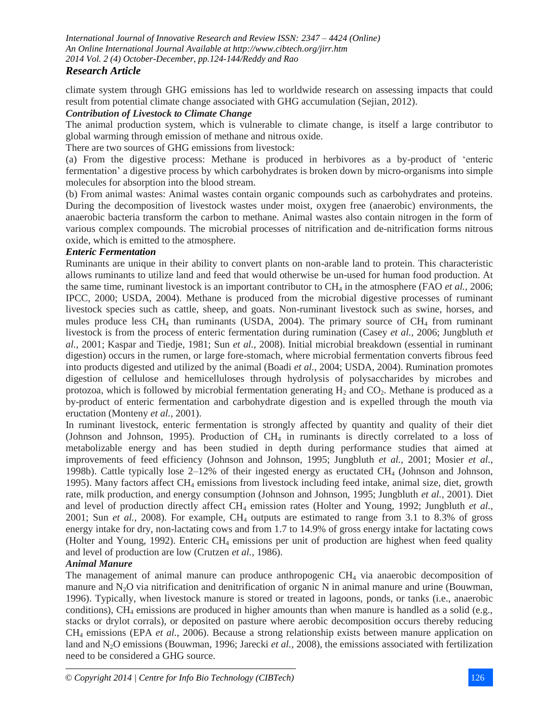# *Research Article*

climate system through GHG emissions has led to worldwide research on assessing impacts that could result from potential climate change associated with GHG accumulation (Sejian, 2012).

# *Contribution of Livestock to Climate Change*

The animal production system, which is vulnerable to climate change, is itself a large contributor to global warming through emission of methane and nitrous oxide.

There are two sources of GHG emissions from livestock:

(a) From the digestive process: Methane is produced in herbivores as a by-product of ‗enteric fermentation' a digestive process by which carbohydrates is broken down by micro-organisms into simple molecules for absorption into the blood stream.

(b) From animal wastes: Animal wastes contain organic compounds such as carbohydrates and proteins. During the decomposition of livestock wastes under moist, oxygen free (anaerobic) environments, the anaerobic bacteria transform the carbon to methane. Animal wastes also contain nitrogen in the form of various complex compounds. The microbial processes of nitrification and de-nitrification forms nitrous oxide, which is emitted to the atmosphere.

### *Enteric Fermentation*

Ruminants are unique in their ability to convert plants on non-arable land to protein. This characteristic allows ruminants to utilize land and feed that would otherwise be un-used for human food production. At the same time, ruminant livestock is an important contributor to CH<sub>4</sub> in the atmosphere (FAO *et al.*, 2006; IPCC, 2000; USDA, 2004). Methane is produced from the microbial digestive processes of ruminant livestock species such as cattle, sheep, and goats. Non-ruminant livestock such as swine, horses, and mules produce less  $CH_4$  than ruminants (USDA, 2004). The primary source of  $CH_4$  from ruminant livestock is from the process of enteric fermentation during rumination (Casey *et al.,* 2006; Jungbluth *et al.,* 2001; Kaspar and Tiedje, 1981; Sun *et al.,* 2008). Initial microbial breakdown (essential in ruminant digestion) occurs in the rumen, or large fore-stomach, where microbial fermentation converts fibrous feed into products digested and utilized by the animal (Boadi *et al.,* 2004; USDA, 2004). Rumination promotes digestion of cellulose and hemicelluloses through hydrolysis of polysaccharides by microbes and protozoa, which is followed by microbial fermentation generating  $H_2$  and  $CO_2$ . Methane is produced as a by-product of enteric fermentation and carbohydrate digestion and is expelled through the mouth via eructation (Monteny *et al.,* 2001).

In ruminant livestock, enteric fermentation is strongly affected by quantity and quality of their diet (Johnson and Johnson, 1995). Production of CH<sup>4</sup> in ruminants is directly correlated to a loss of metabolizable energy and has been studied in depth during performance studies that aimed at improvements of feed efficiency (Johnson and Johnson, 1995; Jungbluth *et al.,* 2001; Mosier *et al.,* 1998b). Cattle typically lose 2–12% of their ingested energy as eructated CH<sup>4</sup> (Johnson and Johnson, 1995). Many factors affect CH<sup>4</sup> emissions from livestock including feed intake, animal size, diet, growth rate, milk production, and energy consumption (Johnson and Johnson, 1995; Jungbluth *et al.,* 2001). Diet and level of production directly affect CH<sub>4</sub> emission rates (Holter and Young, 1992; Jungbluth *et al.*, 2001; Sun *et al.*, 2008). For example, CH<sub>4</sub> outputs are estimated to range from 3.1 to 8.3% of gross energy intake for dry, non-lactating cows and from 1.7 to 14.9% of gross energy intake for lactating cows (Holter and Young, 1992). Enteric  $CH_4$  emissions per unit of production are highest when feed quality and level of production are low (Crutzen *et al.,* 1986).

# *Animal Manure*

The management of animal manure can produce anthropogenic  $CH<sub>4</sub>$  via anaerobic decomposition of manure and N<sub>2</sub>O via nitrification and denitrification of organic N in animal manure and urine (Bouwman, 1996). Typically, when livestock manure is stored or treated in lagoons, ponds, or tanks (i.e., anaerobic conditions), CH<sub>4</sub> emissions are produced in higher amounts than when manure is handled as a solid (e.g., stacks or drylot corrals), or deposited on pasture where aerobic decomposition occurs thereby reducing CH<sup>4</sup> emissions (EPA *et al.,* 2006). Because a strong relationship exists between manure application on land and N2O emissions (Bouwman, 1996; Jarecki *et al.,* 2008), the emissions associated with fertilization need to be considered a GHG source.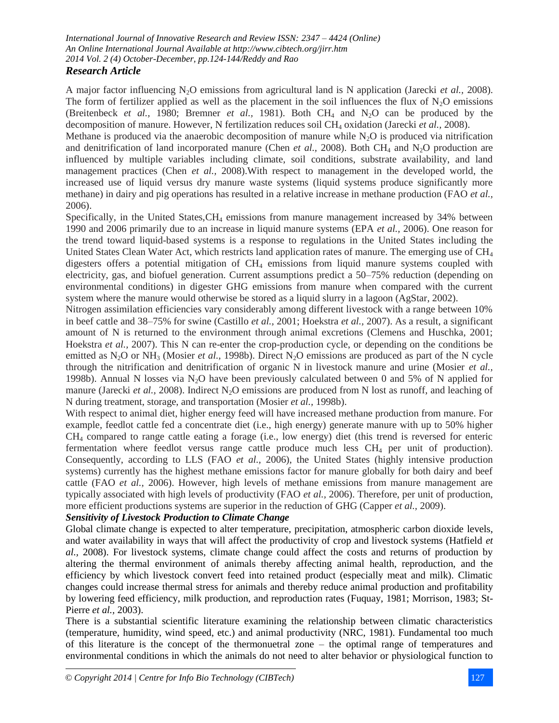### *Research Article*

A major factor influencing N2O emissions from agricultural land is N application (Jarecki *et al.,* 2008). The form of fertilizer applied as well as the placement in the soil influences the flux of  $N<sub>2</sub>O$  emissions (Breitenbeck *et al.,* 1980; Bremner *et al.,* 1981). Both CH<sup>4</sup> and N2O can be produced by the decomposition of manure. However, N fertilization reduces soil CH<sup>4</sup> oxidation (Jarecki *et al.,* 2008).

Methane is produced via the anaerobic decomposition of manure while  $N_2O$  is produced via nitrification and denitrification of land incorporated manure (Chen *et al.*, 2008). Both CH<sub>4</sub> and N<sub>2</sub>O production are influenced by multiple variables including climate, soil conditions, substrate availability, and land management practices (Chen *et al.,* 2008).With respect to management in the developed world, the increased use of liquid versus dry manure waste systems (liquid systems produce significantly more methane) in dairy and pig operations has resulted in a relative increase in methane production (FAO *et al.,* 2006).

Specifically, in the United States,CH<sup>4</sup> emissions from manure management increased by 34% between 1990 and 2006 primarily due to an increase in liquid manure systems (EPA *et al.,* 2006). One reason for the trend toward liquid-based systems is a response to regulations in the United States including the United States Clean Water Act, which restricts land application rates of manure. The emerging use of  $CH<sub>4</sub>$ digesters offers a potential mitigation of  $CH_4$  emissions from liquid manure systems coupled with electricity, gas, and biofuel generation. Current assumptions predict a 50–75% reduction (depending on environmental conditions) in digester GHG emissions from manure when compared with the current system where the manure would otherwise be stored as a liquid slurry in a lagoon (AgStar, 2002).

Nitrogen assimilation efficiencies vary considerably among different livestock with a range between 10% in beef cattle and 38–75% for swine (Castillo *et al.,* 2001; Hoekstra *et al.,* 2007). As a result, a significant amount of N is returned to the environment through animal excretions (Clemens and Huschka, 2001; Hoekstra *et al.,* 2007). This N can re-enter the crop-production cycle, or depending on the conditions be emitted as  $N_2O$  or  $NH_3$  (Mosier *et al.*, 1998b). Direct  $N_2O$  emissions are produced as part of the N cycle through the nitrification and denitrification of organic N in livestock manure and urine (Mosier *et al.,* 1998b). Annual N losses via N<sub>2</sub>O have been previously calculated between 0 and 5% of N applied for manure (Jarecki *et al., 2008)*. Indirect N<sub>2</sub>O emissions are produced from N lost as runoff, and leaching of N during treatment, storage, and transportation (Mosier *et al.,* 1998b).

With respect to animal diet, higher energy feed will have increased methane production from manure. For example, feedlot cattle fed a concentrate diet (i.e., high energy) generate manure with up to 50% higher CH<sup>4</sup> compared to range cattle eating a forage (i.e., low energy) diet (this trend is reversed for enteric fermentation where feedlot versus range cattle produce much less  $CH_4$  per unit of production). Consequently, according to LLS (FAO *et al.,* 2006), the United States (highly intensive production systems) currently has the highest methane emissions factor for manure globally for both dairy and beef cattle (FAO *et al.,* 2006). However, high levels of methane emissions from manure management are typically associated with high levels of productivity (FAO *et al.,* 2006). Therefore, per unit of production, more efficient productions systems are superior in the reduction of GHG (Capper *et al.,* 2009).

# *Sensitivity of Livestock Production to Climate Change*

Global climate change is expected to alter temperature, precipitation, atmospheric carbon dioxide levels, and water availability in ways that will affect the productivity of crop and livestock systems (Hatfield *et al.,* 2008). For livestock systems, climate change could affect the costs and returns of production by altering the thermal environment of animals thereby affecting animal health, reproduction, and the efficiency by which livestock convert feed into retained product (especially meat and milk). Climatic changes could increase thermal stress for animals and thereby reduce animal production and profitability by lowering feed efficiency, milk production, and reproduction rates (Fuquay, 1981; Morrison, 1983; St-Pierre *et al.,* 2003).

There is a substantial scientific literature examining the relationship between climatic characteristics (temperature, humidity, wind speed, etc.) and animal productivity (NRC, 1981). Fundamental too much of this literature is the concept of the thermonuetral zone – the optimal range of temperatures and environmental conditions in which the animals do not need to alter behavior or physiological function to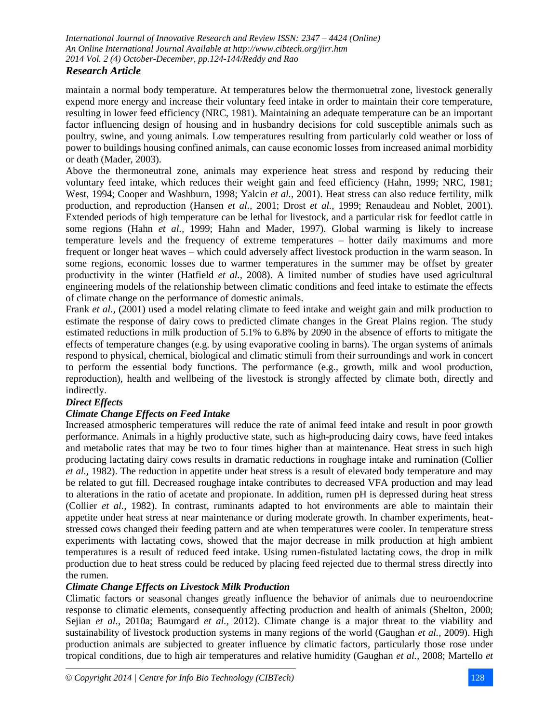## *Research Article*

maintain a normal body temperature. At temperatures below the thermonuetral zone, livestock generally expend more energy and increase their voluntary feed intake in order to maintain their core temperature, resulting in lower feed efficiency (NRC, 1981). Maintaining an adequate temperature can be an important factor influencing design of housing and in husbandry decisions for cold susceptible animals such as poultry, swine, and young animals. Low temperatures resulting from particularly cold weather or loss of power to buildings housing confined animals, can cause economic losses from increased animal morbidity or death (Mader, 2003).

Above the thermoneutral zone, animals may experience heat stress and respond by reducing their voluntary feed intake, which reduces their weight gain and feed efficiency (Hahn, 1999; NRC, 1981; West, 1994; Cooper and Washburn, 1998; Yalcin *et al.,* 2001). Heat stress can also reduce fertility, milk production, and reproduction (Hansen *et al.,* 2001; Drost *et al.,* 1999; Renaudeau and Noblet, 2001). Extended periods of high temperature can be lethal for livestock, and a particular risk for feedlot cattle in some regions (Hahn *et al.,* 1999; Hahn and Mader, 1997). Global warming is likely to increase temperature levels and the frequency of extreme temperatures – hotter daily maximums and more frequent or longer heat waves – which could adversely affect livestock production in the warm season. In some regions, economic losses due to warmer temperatures in the summer may be offset by greater productivity in the winter (Hatfield *et al.,* 2008). A limited number of studies have used agricultural engineering models of the relationship between climatic conditions and feed intake to estimate the effects of climate change on the performance of domestic animals.

Frank *et al.*, (2001) used a model relating climate to feed intake and weight gain and milk production to estimate the response of dairy cows to predicted climate changes in the Great Plains region. The study estimated reductions in milk production of 5.1% to 6.8% by 2090 in the absence of efforts to mitigate the effects of temperature changes (e.g. by using evaporative cooling in barns). The organ systems of animals respond to physical, chemical, biological and climatic stimuli from their surroundings and work in concert to perform the essential body functions. The performance (e.g., growth, milk and wool production, reproduction), health and wellbeing of the livestock is strongly affected by climate both, directly and indirectly.

#### *Direct Effects*

#### *Climate Change Effects on Feed Intake*

Increased atmospheric temperatures will reduce the rate of animal feed intake and result in poor growth performance. Animals in a highly productive state, such as high-producing dairy cows, have feed intakes and metabolic rates that may be two to four times higher than at maintenance. Heat stress in such high producing lactating dairy cows results in dramatic reductions in roughage intake and rumination (Collier *et al.,* 1982). The reduction in appetite under heat stress is a result of elevated body temperature and may be related to gut fill. Decreased roughage intake contributes to decreased VFA production and may lead to alterations in the ratio of acetate and propionate. In addition, rumen pH is depressed during heat stress (Collier *et al.,* 1982). In contrast, ruminants adapted to hot environments are able to maintain their appetite under heat stress at near maintenance or during moderate growth. In chamber experiments, heatstressed cows changed their feeding pattern and ate when temperatures were cooler. In temperature stress experiments with lactating cows, showed that the major decrease in milk production at high ambient temperatures is a result of reduced feed intake. Using rumen-fistulated lactating cows, the drop in milk production due to heat stress could be reduced by placing feed rejected due to thermal stress directly into the rumen.

### *Climate Change Effects on Livestock Milk Production*

Climatic factors or seasonal changes greatly influence the behavior of animals due to neuroendocrine response to climatic elements, consequently affecting production and health of animals (Shelton, 2000; Sejian *et al.,* 2010a; Baumgard *et al.,* 2012). Climate change is a major threat to the viability and sustainability of livestock production systems in many regions of the world (Gaughan *et al.,* 2009). High production animals are subjected to greater influence by climatic factors, particularly those rose under tropical conditions, due to high air temperatures and relative humidity (Gaughan *et al.,* 2008; Martello *et*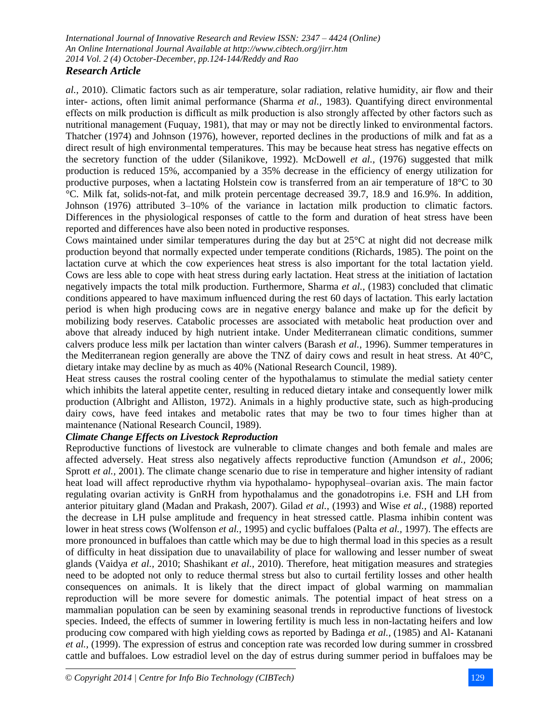## *Research Article*

*al.,* 2010). Climatic factors such as air temperature, solar radiation, relative humidity, air flow and their inter- actions, often limit animal performance (Sharma *et al.,* 1983). Quantifying direct environmental effects on milk production is difficult as milk production is also strongly affected by other factors such as nutritional management (Fuquay, 1981), that may or may not be directly linked to environmental factors. Thatcher (1974) and Johnson (1976), however, reported declines in the productions of milk and fat as a direct result of high environmental temperatures. This may be because heat stress has negative effects on the secretory function of the udder (Silanikove, 1992). McDowell *et al.,* (1976) suggested that milk production is reduced 15%, accompanied by a 35% decrease in the efficiency of energy utilization for productive purposes, when a lactating Holstein cow is transferred from an air temperature of 18°C to 30 °C. Milk fat, solids-not-fat, and milk protein percentage decreased 39.7, 18.9 and 16.9%. In addition, Johnson (1976) attributed 3–10% of the variance in lactation milk production to climatic factors. Differences in the physiological responses of cattle to the form and duration of heat stress have been reported and differences have also been noted in productive responses.

Cows maintained under similar temperatures during the day but at  $25^{\circ}$ C at night did not decrease milk production beyond that normally expected under temperate conditions (Richards, 1985). The point on the lactation curve at which the cow experiences heat stress is also important for the total lactation yield. Cows are less able to cope with heat stress during early lactation. Heat stress at the initiation of lactation negatively impacts the total milk production. Furthermore, Sharma *et al.,* (1983) concluded that climatic conditions appeared to have maximum influenced during the rest 60 days of lactation. This early lactation period is when high producing cows are in negative energy balance and make up for the deficit by mobilizing body reserves. Catabolic processes are associated with metabolic heat production over and above that already induced by high nutrient intake. Under Mediterranean climatic conditions, summer calvers produce less milk per lactation than winter calvers (Barash *et al.,* 1996). Summer temperatures in the Mediterranean region generally are above the TNZ of dairy cows and result in heat stress. At 40°C, dietary intake may decline by as much as 40% (National Research Council, 1989).

Heat stress causes the rostral cooling center of the hypothalamus to stimulate the medial satiety center which inhibits the lateral appetite center, resulting in reduced dietary intake and consequently lower milk production (Albright and Alliston, 1972). Animals in a highly productive state, such as high-producing dairy cows, have feed intakes and metabolic rates that may be two to four times higher than at maintenance (National Research Council, 1989).

## *Climate Change Effects on Livestock Reproduction*

Reproductive functions of livestock are vulnerable to climate changes and both female and males are affected adversely. Heat stress also negatively affects reproductive function (Amundson *et al.,* 2006; Sprott *et al.*, 2001). The climate change scenario due to rise in temperature and higher intensity of radiant heat load will affect reproductive rhythm via hypothalamo- hypophyseal–ovarian axis. The main factor regulating ovarian activity is GnRH from hypothalamus and the gonadotropins i.e. FSH and LH from anterior pituitary gland (Madan and Prakash, 2007). Gilad *et al.,* (1993) and Wise *et al.,* (1988) reported the decrease in LH pulse amplitude and frequency in heat stressed cattle. Plasma inhibin content was lower in heat stress cows (Wolfenson *et al.,* 1995) and cyclic buffaloes (Palta *et al.,* 1997). The effects are more pronounced in buffaloes than cattle which may be due to high thermal load in this species as a result of difficulty in heat dissipation due to unavailability of place for wallowing and lesser number of sweat glands (Vaidya *et al.,* 2010; Shashikant *et al.,* 2010). Therefore, heat mitigation measures and strategies need to be adopted not only to reduce thermal stress but also to curtail fertility losses and other health consequences on animals. It is likely that the direct impact of global warming on mammalian reproduction will be more severe for domestic animals. The potential impact of heat stress on a mammalian population can be seen by examining seasonal trends in reproductive functions of livestock species. Indeed, the effects of summer in lowering fertility is much less in non-lactating heifers and low producing cow compared with high yielding cows as reported by Badinga *et al.,* (1985) and Al- Katanani *et al.,* (1999). The expression of estrus and conception rate was recorded low during summer in crossbred cattle and buffaloes. Low estradiol level on the day of estrus during summer period in buffaloes may be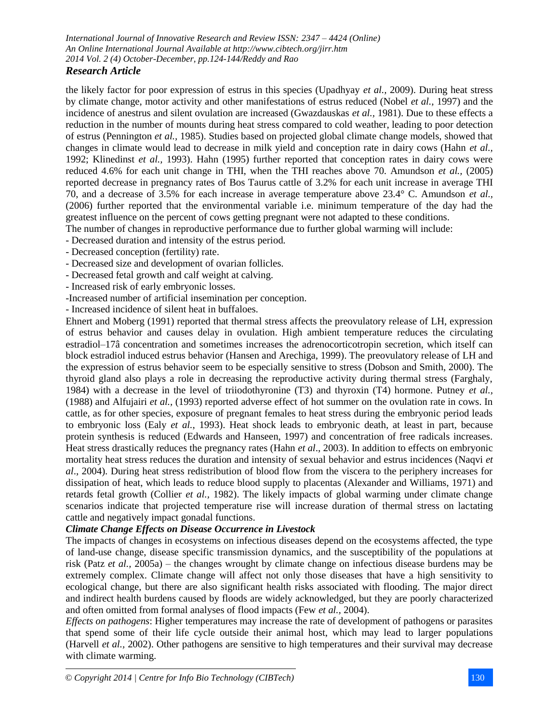# *Research Article*

the likely factor for poor expression of estrus in this species (Upadhyay *et al.,* 2009). During heat stress by climate change, motor activity and other manifestations of estrus reduced (Nobel *et al.,* 1997) and the incidence of anestrus and silent ovulation are increased (Gwazdauskas *et al.,* 1981). Due to these effects a reduction in the number of mounts during heat stress compared to cold weather, leading to poor detection of estrus (Pennington *et al.,* 1985). Studies based on projected global climate change models, showed that changes in climate would lead to decrease in milk yield and conception rate in dairy cows (Hahn *et al.,*  1992; Klinedinst *et al.,* 1993). Hahn (1995) further reported that conception rates in dairy cows were reduced 4.6% for each unit change in THI, when the THI reaches above 70. Amundson *et al.,* (2005) reported decrease in pregnancy rates of Bos Taurus cattle of 3.2% for each unit increase in average THI 70, and a decrease of 3.5% for each increase in average temperature above 23.4° C. Amundson *et al.,* (2006) further reported that the environmental variable i.e. minimum temperature of the day had the greatest influence on the percent of cows getting pregnant were not adapted to these conditions.

The number of changes in reproductive performance due to further global warming will include:

- Decreased duration and intensity of the estrus period.
- Decreased conception (fertility) rate.
- Decreased size and development of ovarian follicles.
- Decreased fetal growth and calf weight at calving.
- Increased risk of early embryonic losses.
- -Increased number of artificial insemination per conception.
- Increased incidence of silent heat in buffaloes.

Ehnert and Moberg (1991) reported that thermal stress affects the preovulatory release of LH, expression of estrus behavior and causes delay in ovulation. High ambient temperature reduces the circulating estradiol–17â concentration and sometimes increases the adrenocorticotropin secretion, which itself can block estradiol induced estrus behavior (Hansen and Arechiga, 1999). The preovulatory release of LH and the expression of estrus behavior seem to be especially sensitive to stress (Dobson and Smith, 2000). The thyroid gland also plays a role in decreasing the reproductive activity during thermal stress (Farghaly, 1984) with a decrease in the level of triiodothyronine (T3) and thyroxin (T4) hormone. Putney *et al.,*  (1988) and Alfujairi *et al.,* (1993) reported adverse effect of hot summer on the ovulation rate in cows. In cattle, as for other species, exposure of pregnant females to heat stress during the embryonic period leads to embryonic loss (Ealy *et al.*, 1993). Heat shock leads to embryonic death, at least in part, because protein synthesis is reduced (Edwards and Hanseen, 1997) and concentration of free radicals increases. Heat stress drastically reduces the pregnancy rates (Hahn *et al*., 2003). In addition to effects on embryonic mortality heat stress reduces the duration and intensity of sexual behavior and estrus incidences (Naqvi *et al*., 2004). During heat stress redistribution of blood flow from the viscera to the periphery increases for dissipation of heat, which leads to reduce blood supply to placentas (Alexander and Williams, 1971) and retards fetal growth (Collier *et al.,* 1982). The likely impacts of global warming under climate change scenarios indicate that projected temperature rise will increase duration of thermal stress on lactating cattle and negatively impact gonadal functions.

# *Climate Change Effects on Disease Occurrence in Livestock*

The impacts of changes in ecosystems on infectious diseases depend on the ecosystems affected, the type of land-use change, disease specific transmission dynamics, and the susceptibility of the populations at risk (Patz *et al.,* 2005a) – the changes wrought by climate change on infectious disease burdens may be extremely complex. Climate change will affect not only those diseases that have a high sensitivity to ecological change, but there are also significant health risks associated with flooding. The major direct and indirect health burdens caused by floods are widely acknowledged, but they are poorly characterized and often omitted from formal analyses of flood impacts (Few *et al.,* 2004).

*Effects on pathogens*: Higher temperatures may increase the rate of development of pathogens or parasites that spend some of their life cycle outside their animal host, which may lead to larger populations (Harvell *et al.,* 2002). Other pathogens are sensitive to high temperatures and their survival may decrease with climate warming.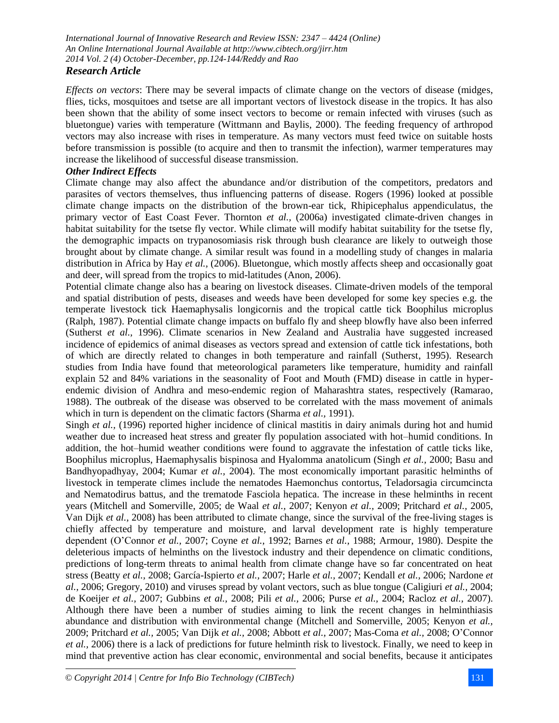## *Research Article*

*Effects on vectors*: There may be several impacts of climate change on the vectors of disease (midges, flies, ticks, mosquitoes and tsetse are all important vectors of livestock disease in the tropics. It has also been shown that the ability of some insect vectors to become or remain infected with viruses (such as bluetongue) varies with temperature (Wittmann and Baylis, 2000). The feeding frequency of arthropod vectors may also increase with rises in temperature. As many vectors must feed twice on suitable hosts before transmission is possible (to acquire and then to transmit the infection), warmer temperatures may increase the likelihood of successful disease transmission.

### *Other Indirect Effects*

Climate change may also affect the abundance and/or distribution of the competitors, predators and parasites of vectors themselves, thus influencing patterns of disease. Rogers (1996) looked at possible climate change impacts on the distribution of the brown-ear tick, Rhipicephalus appendiculatus, the primary vector of East Coast Fever. Thornton *et al.,* (2006a) investigated climate-driven changes in habitat suitability for the tsetse fly vector. While climate will modify habitat suitability for the tsetse fly, the demographic impacts on trypanosomiasis risk through bush clearance are likely to outweigh those brought about by climate change. A similar result was found in a modelling study of changes in malaria distribution in Africa by Hay *et al.,* (2006). Bluetongue, which mostly affects sheep and occasionally goat and deer, will spread from the tropics to mid-latitudes (Anon, 2006).

Potential climate change also has a bearing on livestock diseases. Climate-driven models of the temporal and spatial distribution of pests, diseases and weeds have been developed for some key species e.g. the temperate livestock tick Haemaphysalis longicornis and the tropical cattle tick Boophilus microplus (Ralph, 1987). Potential climate change impacts on buffalo fly and sheep blowfly have also been inferred (Sutherst *et al.,* 1996). Climate scenarios in New Zealand and Australia have suggested increased incidence of epidemics of animal diseases as vectors spread and extension of cattle tick infestations, both of which are directly related to changes in both temperature and rainfall (Sutherst, 1995). Research studies from India have found that meteorological parameters like temperature, humidity and rainfall explain 52 and 84% variations in the seasonality of Foot and Mouth (FMD) disease in cattle in hyperendemic division of Andhra and meso-endemic region of Maharashtra states, respectively (Ramarao, 1988). The outbreak of the disease was observed to be correlated with the mass movement of animals which in turn is dependent on the climatic factors (Sharma *et al.,* 1991).

Singh *et al.*, (1996) reported higher incidence of clinical mastitis in dairy animals during hot and humid weather due to increased heat stress and greater fly population associated with hot–humid conditions. In addition, the hot–humid weather conditions were found to aggravate the infestation of cattle ticks like, Boophilus microplus, Haemaphysalis bispinosa and Hyalomma anatolicum (Singh *et al.,* 2000; Basu and Bandhyopadhyay, 2004; Kumar *et al.,* 2004). The most economically important parasitic helminths of livestock in temperate climes include the nematodes Haemonchus contortus, Teladorsagia circumcincta and Nematodirus battus, and the trematode Fasciola hepatica. The increase in these helminths in recent years (Mitchell and Somerville, 2005; de Waal *et al.,* 2007; Kenyon *et al.,* 2009; Pritchard *et al.,* 2005, Van Dijk *et al.,* 2008) has been attributed to climate change, since the survival of the free-living stages is chiefly affected by temperature and moisture, and larval development rate is highly temperature dependent (O'Connor *et al.,* 2007; Coyne *et al.,* 1992; Barnes *et al.,* 1988; Armour, 1980). Despite the deleterious impacts of helminths on the livestock industry and their dependence on climatic conditions, predictions of long-term threats to animal health from climate change have so far concentrated on heat stress (Beatty *et al.,* 2008; García-Ispierto *et al.,* 2007; Harle *et al.,* 2007; Kendall *et al.,* 2006; Nardone *et al.,* 2006; Gregory, 2010) and viruses spread by volant vectors, such as blue tongue (Caligiuri *et al.,* 2004; de Koeijer *et al.,* 2007; Gubbins *et al.,* 2008; Pili *et al.,* 2006; Purse *et al.,* 2004; Racloz *et al.,* 2007). Although there have been a number of studies aiming to link the recent changes in helminthiasis abundance and distribution with environmental change (Mitchell and Somerville, 2005; Kenyon *et al.,* 2009; Pritchard *et al.,* 2005; Van Dijk *et al.,* 2008; Abbott *et al.,* 2007; Mas-Coma *et al.,* 2008; O'Connor *et al.,* 2006) there is a lack of predictions for future helminth risk to livestock. Finally, we need to keep in mind that preventive action has clear economic, environmental and social benefits, because it anticipates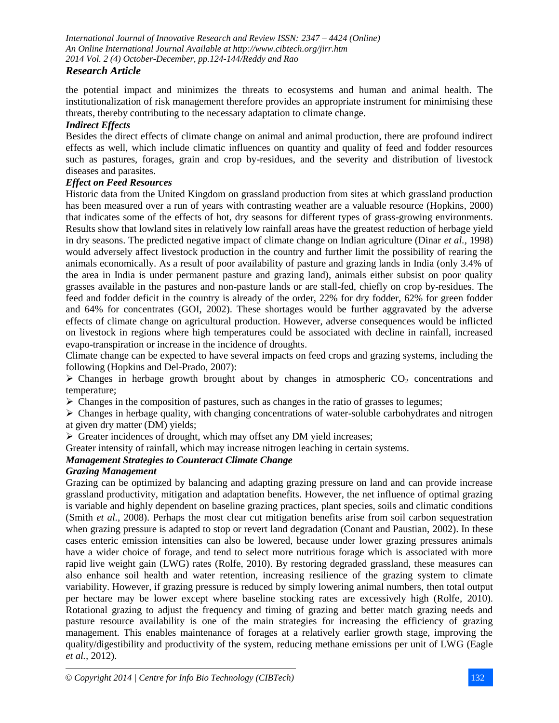# *Research Article*

the potential impact and minimizes the threats to ecosystems and human and animal health. The institutionalization of risk management therefore provides an appropriate instrument for minimising these threats, thereby contributing to the necessary adaptation to climate change.

## *Indirect Effects*

Besides the direct effects of climate change on animal and animal production, there are profound indirect effects as well, which include climatic influences on quantity and quality of feed and fodder resources such as pastures, forages, grain and crop by-residues, and the severity and distribution of livestock diseases and parasites.

# *Effect on Feed Resources*

Historic data from the United Kingdom on grassland production from sites at which grassland production has been measured over a run of years with contrasting weather are a valuable resource (Hopkins, 2000) that indicates some of the effects of hot, dry seasons for different types of grass-growing environments. Results show that lowland sites in relatively low rainfall areas have the greatest reduction of herbage yield in dry seasons. The predicted negative impact of climate change on Indian agriculture (Dinar *et al.,* 1998) would adversely affect livestock production in the country and further limit the possibility of rearing the animals economically. As a result of poor availability of pasture and grazing lands in India (only 3.4% of the area in India is under permanent pasture and grazing land), animals either subsist on poor quality grasses available in the pastures and non-pasture lands or are stall-fed, chiefly on crop by-residues. The feed and fodder deficit in the country is already of the order, 22% for dry fodder, 62% for green fodder and 64% for concentrates (GOI, 2002). These shortages would be further aggravated by the adverse effects of climate change on agricultural production. However, adverse consequences would be inflicted on livestock in regions where high temperatures could be associated with decline in rainfall, increased evapo-transpiration or increase in the incidence of droughts.

Climate change can be expected to have several impacts on feed crops and grazing systems, including the following (Hopkins and Del-Prado, 2007):

 $\triangleright$  Changes in herbage growth brought about by changes in atmospheric CO<sub>2</sub> concentrations and temperature;

 $\triangleright$  Changes in the composition of pastures, such as changes in the ratio of grasses to legumes;

 $\triangleright$  Changes in herbage quality, with changing concentrations of water-soluble carbohydrates and nitrogen at given dry matter (DM) yields;

Greater incidences of drought, which may offset any DM yield increases;

Greater intensity of rainfall, which may increase nitrogen leaching in certain systems.

# *Management Strategies to Counteract Climate Change*

#### *Grazing Management*

Grazing can be optimized by balancing and adapting grazing pressure on land and can provide increase grassland productivity, mitigation and adaptation benefits. However, the net influence of optimal grazing is variable and highly dependent on baseline grazing practices, plant species, soils and climatic conditions (Smith *et al.,* 2008). Perhaps the most clear cut mitigation benefits arise from soil carbon sequestration when grazing pressure is adapted to stop or revert land degradation (Conant and Paustian, 2002). In these cases enteric emission intensities can also be lowered, because under lower grazing pressures animals have a wider choice of forage, and tend to select more nutritious forage which is associated with more rapid live weight gain (LWG) rates (Rolfe, 2010). By restoring degraded grassland, these measures can also enhance soil health and water retention, increasing resilience of the grazing system to climate variability. However, if grazing pressure is reduced by simply lowering animal numbers, then total output per hectare may be lower except where baseline stocking rates are excessively high (Rolfe, 2010). Rotational grazing to adjust the frequency and timing of grazing and better match grazing needs and pasture resource availability is one of the main strategies for increasing the efficiency of grazing management. This enables maintenance of forages at a relatively earlier growth stage, improving the quality/digestibility and productivity of the system, reducing methane emissions per unit of LWG (Eagle *et al.,* 2012).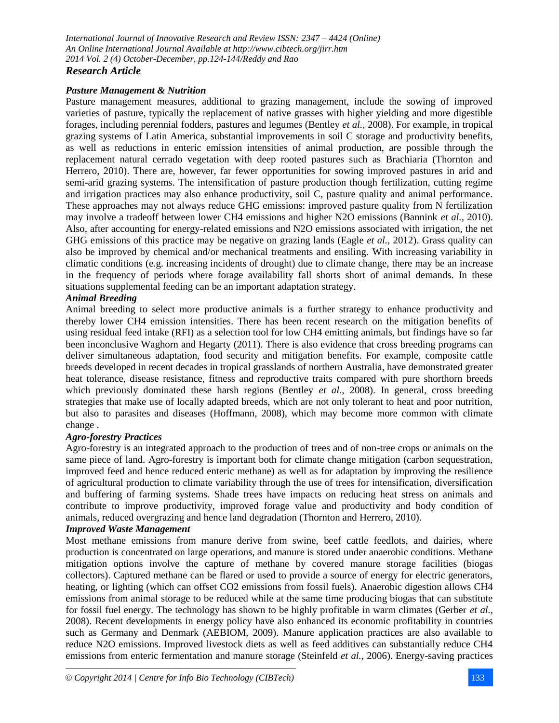# *Research Article*

#### *Pasture Management & Nutrition*

Pasture management measures, additional to grazing management, include the sowing of improved varieties of pasture, typically the replacement of native grasses with higher yielding and more digestible forages, including perennial fodders, pastures and legumes (Bentley *et al.,* 2008). For example, in tropical grazing systems of Latin America, substantial improvements in soil C storage and productivity benefits, as well as reductions in enteric emission intensities of animal production, are possible through the replacement natural cerrado vegetation with deep rooted pastures such as Brachiaria (Thornton and Herrero, 2010). There are, however, far fewer opportunities for sowing improved pastures in arid and semi-arid grazing systems. The intensification of pasture production though fertilization, cutting regime and irrigation practices may also enhance productivity, soil C, pasture quality and animal performance. These approaches may not always reduce GHG emissions: improved pasture quality from N fertilization may involve a tradeoff between lower CH4 emissions and higher N2O emissions (Bannink *et al.,* 2010). Also, after accounting for energy-related emissions and N2O emissions associated with irrigation, the net GHG emissions of this practice may be negative on grazing lands (Eagle *et al.,* 2012). Grass quality can also be improved by chemical and/or mechanical treatments and ensiling. With increasing variability in climatic conditions (e.g. increasing incidents of drought) due to climate change, there may be an increase in the frequency of periods where forage availability fall shorts short of animal demands. In these situations supplemental feeding can be an important adaptation strategy.

# *Animal Breeding*

Animal breeding to select more productive animals is a further strategy to enhance productivity and thereby lower CH4 emission intensities. There has been recent research on the mitigation benefits of using residual feed intake (RFI) as a selection tool for low CH4 emitting animals, but findings have so far been inconclusive Waghorn and Hegarty (2011). There is also evidence that cross breeding programs can deliver simultaneous adaptation, food security and mitigation benefits. For example, composite cattle breeds developed in recent decades in tropical grasslands of northern Australia, have demonstrated greater heat tolerance, disease resistance, fitness and reproductive traits compared with pure shorthorn breeds which previously dominated these harsh regions (Bentley *et al.*, 2008). In general, cross breeding strategies that make use of locally adapted breeds, which are not only tolerant to heat and poor nutrition, but also to parasites and diseases (Hoffmann, 2008), which may become more common with climate change .

#### *Agro-forestry Practices*

Agro-forestry is an integrated approach to the production of trees and of non-tree crops or animals on the same piece of land. Agro-forestry is important both for climate change mitigation (carbon sequestration, improved feed and hence reduced enteric methane) as well as for adaptation by improving the resilience of agricultural production to climate variability through the use of trees for intensification, diversification and buffering of farming systems. Shade trees have impacts on reducing heat stress on animals and contribute to improve productivity, improved forage value and productivity and body condition of animals, reduced overgrazing and hence land degradation (Thornton and Herrero, 2010).

#### *Improved Waste Management*

Most methane emissions from manure derive from swine, beef cattle feedlots, and dairies, where production is concentrated on large operations, and manure is stored under anaerobic conditions. Methane mitigation options involve the capture of methane by covered manure storage facilities (biogas collectors). Captured methane can be flared or used to provide a source of energy for electric generators, heating, or lighting (which can offset CO2 emissions from fossil fuels). Anaerobic digestion allows CH4 emissions from animal storage to be reduced while at the same time producing biogas that can substitute for fossil fuel energy. The technology has shown to be highly profitable in warm climates (Gerber *et al.,* 2008). Recent developments in energy policy have also enhanced its economic profitability in countries such as Germany and Denmark (AEBIOM, 2009). Manure application practices are also available to reduce N2O emissions. Improved livestock diets as well as feed additives can substantially reduce CH4 emissions from enteric fermentation and manure storage (Steinfeld *et al.,* 2006). Energy-saving practices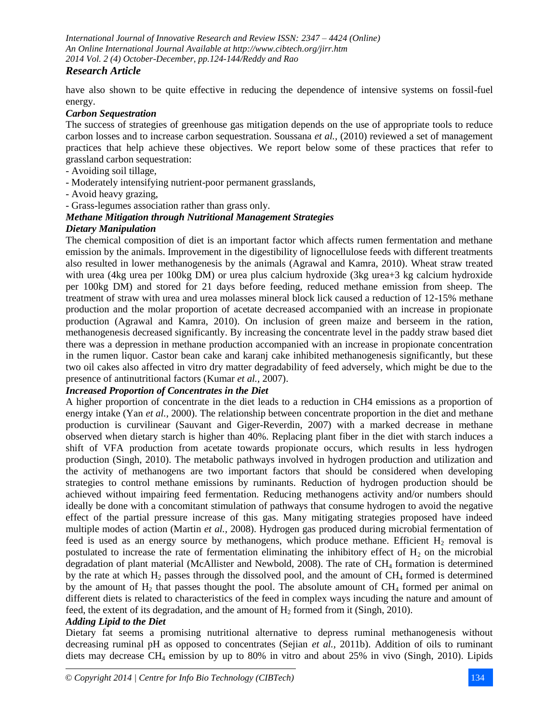# *Research Article*

have also shown to be quite effective in reducing the dependence of intensive systems on fossil-fuel energy.

### *Carbon Sequestration*

The success of strategies of greenhouse gas mitigation depends on the use of appropriate tools to reduce carbon losses and to increase carbon sequestration. Soussana *et al.,* (2010) reviewed a set of management practices that help achieve these objectives. We report below some of these practices that refer to grassland carbon sequestration:

- Avoiding soil tillage,
- Moderately intensifying nutrient-poor permanent grasslands,
- Avoid heavy grazing,
- Grass-legumes association rather than grass only.

# *Methane Mitigation through Nutritional Management Strategies*

### *Dietary Manipulation*

The chemical composition of diet is an important factor which affects rumen fermentation and methane emission by the animals. Improvement in the digestibility of lignocellulose feeds with different treatments also resulted in lower methanogenesis by the animals (Agrawal and Kamra, 2010). Wheat straw treated with urea (4kg urea per 100kg DM) or urea plus calcium hydroxide (3kg urea+3 kg calcium hydroxide per 100kg DM) and stored for 21 days before feeding, reduced methane emission from sheep. The treatment of straw with urea and urea molasses mineral block lick caused a reduction of 12-15% methane production and the molar proportion of acetate decreased accompanied with an increase in propionate production (Agrawal and Kamra, 2010). On inclusion of green maize and berseem in the ration, methanogenesis decreased significantly. By increasing the concentrate level in the paddy straw based diet there was a depression in methane production accompanied with an increase in propionate concentration in the rumen liquor. Castor bean cake and karanj cake inhibited methanogenesis significantly, but these two oil cakes also affected in vitro dry matter degradability of feed adversely, which might be due to the presence of antinutritional factors (Kumar *et al.,* 2007).

#### *Increased Proportion of Concentrates in the Diet*

A higher proportion of concentrate in the diet leads to a reduction in CH4 emissions as a proportion of energy intake (Yan *et al.,* 2000). The relationship between concentrate proportion in the diet and methane production is curvilinear (Sauvant and Giger-Reverdin, 2007) with a marked decrease in methane observed when dietary starch is higher than 40%. Replacing plant fiber in the diet with starch induces a shift of VFA production from acetate towards propionate occurs, which results in less hydrogen production (Singh, 2010). The metabolic pathways involved in hydrogen production and utilization and the activity of methanogens are two important factors that should be considered when developing strategies to control methane emissions by ruminants. Reduction of hydrogen production should be achieved without impairing feed fermentation. Reducing methanogens activity and/or numbers should ideally be done with a concomitant stimulation of pathways that consume hydrogen to avoid the negative effect of the partial pressure increase of this gas. Many mitigating strategies proposed have indeed multiple modes of action (Martin *et al.,* 2008). Hydrogen gas produced during microbial fermentation of feed is used as an energy source by methanogens, which produce methane. Efficient  $H_2$  removal is postulated to increase the rate of fermentation eliminating the inhibitory effect of  $H_2$  on the microbial degradation of plant material (McAllister and Newbold, 2008). The rate of CH<sub>4</sub> formation is determined by the rate at which  $H_2$  passes through the dissolved pool, and the amount of  $CH_4$  formed is determined by the amount of  $H_2$  that passes thought the pool. The absolute amount of  $CH_4$  formed per animal on different diets is related to characteristics of the feed in complex ways incuding the nature and amount of feed, the extent of its degradation, and the amount of  $H_2$  formed from it (Singh, 2010).

#### *Adding Lipid to the Diet*

Dietary fat seems a promising nutritional alternative to depress ruminal methanogenesis without decreasing ruminal pH as opposed to concentrates (Sejian *et al.,* 2011b). Addition of oils to ruminant diets may decrease CH<sub>4</sub> emission by up to 80% in vitro and about 25% in vivo (Singh, 2010). Lipids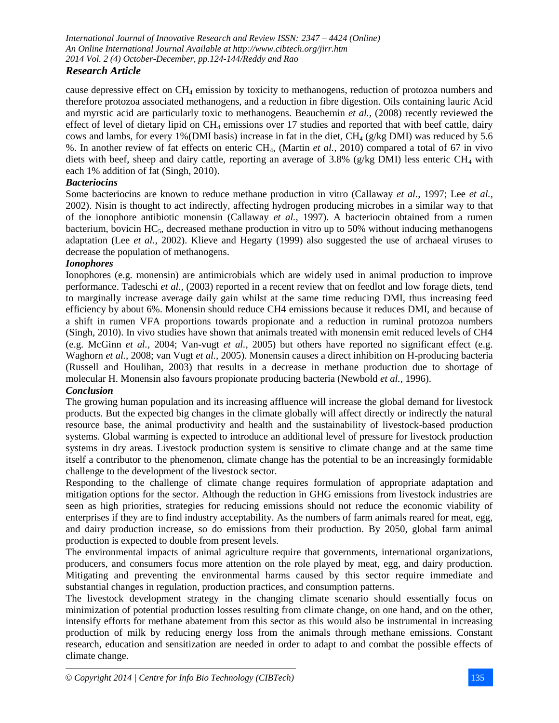# *Research Article*

cause depressive effect on CH<sup>4</sup> emission by toxicity to methanogens, reduction of protozoa numbers and therefore protozoa associated methanogens, and a reduction in fibre digestion. Oils containing lauric Acid and myrstic acid are particularly toxic to methanogens. Beauchemin *et al.,* (2008) recently reviewed the effect of level of dietary lipid on CH<sub>4</sub> emissions over 17 studies and reported that with beef cattle, dairy cows and lambs, for every 1%(DMI basis) increase in fat in the diet,  $CH_4$  (g/kg DMI) was reduced by 5.6 %. In another review of fat effects on enteric CH4, (Martin *et al.,* 2010) compared a total of 67 in vivo diets with beef, sheep and dairy cattle, reporting an average of  $3.8\%$  (g/kg DMI) less enteric CH<sub>4</sub> with each 1% addition of fat (Singh, 2010).

#### *Bacteriocins*

Some bacteriocins are known to reduce methane production in vitro (Callaway *et al.,* 1997; Lee *et al.,* 2002). Nisin is thought to act indirectly, affecting hydrogen producing microbes in a similar way to that of the ionophore antibiotic monensin (Callaway *et al.,* 1997). A bacteriocin obtained from a rumen bacterium, bovicin  $HC_5$ , decreased methane production in vitro up to 50% without inducing methanogens adaptation (Lee *et al.,* 2002). Klieve and Hegarty (1999) also suggested the use of archaeal viruses to decrease the population of methanogens.

#### *Ionophores*

Ionophores (e.g. monensin) are antimicrobials which are widely used in animal production to improve performance. Tadeschi *et al.,* (2003) reported in a recent review that on feedlot and low forage diets, tend to marginally increase average daily gain whilst at the same time reducing DMI, thus increasing feed efficiency by about 6%. Monensin should reduce CH4 emissions because it reduces DMI, and because of a shift in rumen VFA proportions towards propionate and a reduction in ruminal protozoa numbers (Singh, 2010). In vivo studies have shown that animals treated with monensin emit reduced levels of CH4 (e.g. McGinn *et al.,* 2004; Van-vugt *et al.,* 2005) but others have reported no significant effect (e.g. Waghorn *et al.,* 2008; van Vugt *et al.,* 2005). Monensin causes a direct inhibition on H-producing bacteria (Russell and Houlihan, 2003) that results in a decrease in methane production due to shortage of molecular H. Monensin also favours propionate producing bacteria (Newbold *et al.,* 1996).

# *Conclusion*

The growing human population and its increasing affluence will increase the global demand for livestock products. But the expected big changes in the climate globally will affect directly or indirectly the natural resource base, the animal productivity and health and the sustainability of livestock-based production systems. Global warming is expected to introduce an additional level of pressure for livestock production systems in dry areas. Livestock production system is sensitive to climate change and at the same time itself a contributor to the phenomenon, climate change has the potential to be an increasingly formidable challenge to the development of the livestock sector.

Responding to the challenge of climate change requires formulation of appropriate adaptation and mitigation options for the sector. Although the reduction in GHG emissions from livestock industries are seen as high priorities, strategies for reducing emissions should not reduce the economic viability of enterprises if they are to find industry acceptability. As the numbers of farm animals reared for meat, egg, and dairy production increase, so do emissions from their production. By 2050, global farm animal production is expected to double from present levels.

The environmental impacts of animal agriculture require that governments, international organizations, producers, and consumers focus more attention on the role played by meat, egg, and dairy production. Mitigating and preventing the environmental harms caused by this sector require immediate and substantial changes in regulation, production practices, and consumption patterns.

The livestock development strategy in the changing climate scenario should essentially focus on minimization of potential production losses resulting from climate change, on one hand, and on the other, intensify efforts for methane abatement from this sector as this would also be instrumental in increasing production of milk by reducing energy loss from the animals through methane emissions. Constant research, education and sensitization are needed in order to adapt to and combat the possible effects of climate change.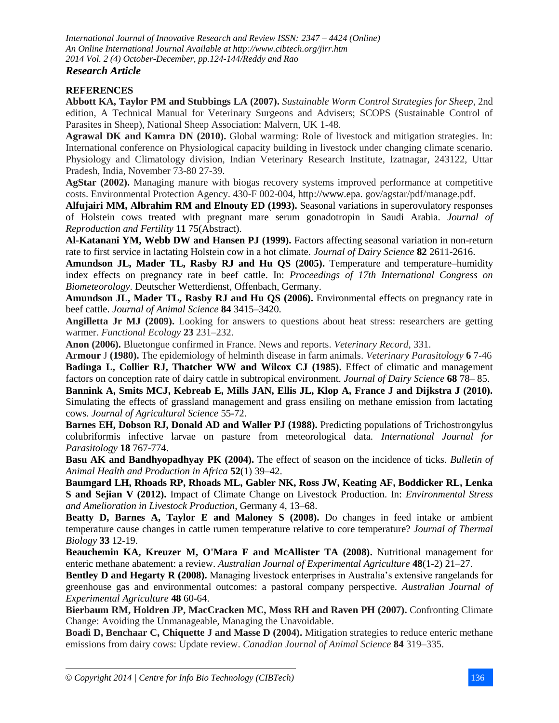# *Research Article*

## **REFERENCES**

**Abbott KA, Taylor PM and Stubbings LA (2007).** *Sustainable Worm Control Strategies for Sheep*, 2nd edition, A Technical Manual for Veterinary Surgeons and Advisers; SCOPS (Sustainable Control of Parasites in Sheep), National Sheep Association: Malvern, UK 1-48.

**Agrawal DK and Kamra DN (2010).** Global warming: Role of livestock and mitigation strategies. In: International conference on Physiological capacity building in livestock under changing climate scenario. Physiology and Climatology division, Indian Veterinary Research Institute, Izatnagar, 243122, Uttar Pradesh, India, November 73-80 27-39.

**AgStar (2002).** Managing manure with biogas recovery systems improved performance at competitive costs. Environmental Protection Agency. 430-F 002-004, http://www.epa. gov/agstar/pdf/manage.pdf.

**Alfujairi MM, Albrahim RM and Elnouty ED (1993).** Seasonal variations in superovulatory responses of Holstein cows treated with pregnant mare serum gonadotropin in Saudi Arabia. *Journal of Reproduction and Fertility* **11** 75(Abstract).

**Al-Katanani YM, Webb DW and Hansen PJ (1999).** Factors affecting seasonal variation in non-return rate to first service in lactating Holstein cow in a hot climate. *Journal of Dairy Science* **82** 2611-2616.

**Amundson JL, Mader TL, Rasby RJ and Hu QS (2005).** Temperature and temperature–humidity index effects on pregnancy rate in beef cattle. In: *Proceedings of 17th International Congress on Biometeorology*. Deutscher Wetterdienst, Offenbach, Germany.

**Amundson JL, Mader TL, Rasby RJ and Hu QS (2006).** Environmental effects on pregnancy rate in beef cattle. *Journal of Animal Science* **84** 3415–3420.

**Angilletta Jr MJ (2009).** Looking for answers to questions about heat stress: researchers are getting warmer. *Functional Ecology* **23** 231–232.

**Anon (2006).** Bluetongue confirmed in France. News and reports. *Veterinary Record,* 331.

**Armour** J **(1980).** The epidemiology of helminth disease in farm animals. *Veterinary Parasitology* **6** 7-46 **Badinga L, Collier RJ, Thatcher WW and Wilcox CJ (1985).** Effect of climatic and management factors on conception rate of dairy cattle in subtropical environment. *Journal of Dairy Science* **68** 78– 85.

**Bannink A, Smits MCJ, Kebreab E, Mills JAN, Ellis JL, Klop A, France J and Dijkstra J (2010).** Simulating the effects of grassland management and grass ensiling on methane emission from lactating cows. *Journal of Agricultural Science* 55-72.

**Barnes EH, Dobson RJ, Donald AD and Waller PJ (1988).** Predicting populations of Trichostrongylus colubriformis infective larvae on pasture from meteorological data. *International Journal for Parasitology* **18** 767-774.

**Basu AK and Bandhyopadhyay PK (2004).** The effect of season on the incidence of ticks. *Bulletin of Animal Health and Production in Africa* **52**(1) 39–42.

**Baumgard LH, Rhoads RP, Rhoads ML, Gabler NK, Ross JW, Keating AF, Boddicker RL, Lenka S and Sejian V (2012).** Impact of Climate Change on Livestock Production. In: *Environmental Stress and Amelioration in Livestock Production*, Germany 4, 13–68.

**Beatty D, Barnes A, Taylor E and Maloney S (2008).** Do changes in feed intake or ambient temperature cause changes in cattle rumen temperature relative to core temperature? *Journal of Thermal Biology* **33** 12-19.

**Beauchemin KA, Kreuzer M, O'Mara F and McAllister TA (2008).** Nutritional management for enteric methane abatement: a review. *Australian Journal of Experimental Agriculture* **48**(1-2) 21–27.

**Bentley D and Hegarty R (2008).** Managing livestock enterprises in Australia's extensive rangelands for greenhouse gas and environmental outcomes: a pastoral company perspective. *Australian Journal of Experimental Agriculture* **48** 60-64.

**Bierbaum RM, Holdren JP, MacCracken MC, Moss RH and Raven PH (2007).** Confronting Climate Change: Avoiding the Unmanageable, Managing the Unavoidable.

**Boadi D, Benchaar C, Chiquette J and Masse D (2004).** Mitigation strategies to reduce enteric methane emissions from dairy cows: Update review. *Canadian Journal of Animal Science* **84** 319–335.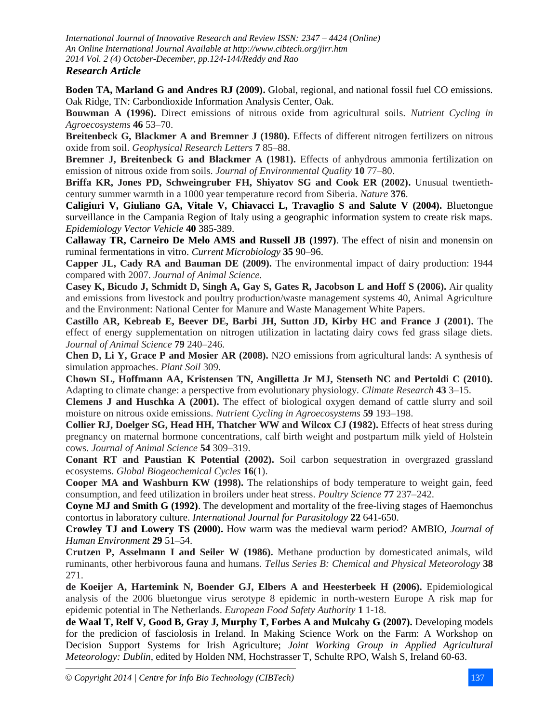**Boden TA, Marland G and Andres RJ (2009).** Global, regional, and national fossil fuel CO emissions. Oak Ridge, TN: Carbondioxide Information Analysis Center, Oak.

**Bouwman A (1996).** Direct emissions of nitrous oxide from agricultural soils. *Nutrient Cycling in Agroecosystems* **46** 53–70.

**Breitenbeck G, Blackmer A and Bremner J (1980).** Effects of different nitrogen fertilizers on nitrous oxide from soil. *Geophysical Research Letters* **7** 85–88.

**Bremner J, Breitenbeck G and Blackmer A (1981).** Effects of anhydrous ammonia fertilization on emission of nitrous oxide from soils. *Journal of Environmental Quality* **10** 77–80.

**Briffa KR, Jones PD, Schweingruber FH, Shiyatov SG and Cook ER (2002).** Unusual twentiethcentury summer warmth in a 1000 year temperature record from Siberia. *Nature* **376**.

**Caligiuri V, Giuliano GA, Vitale V, Chiavacci L, Travaglio S and Salute V (2004).** Bluetongue surveillance in the Campania Region of Italy using a geographic information system to create risk maps. *Epidemiology Vector Vehicle* **40** 385-389.

**Callaway TR, Carneiro De Melo AMS and Russell JB (1997)**. The effect of nisin and monensin on ruminal fermentations in vitro. *Current Microbiology* **35** 90–96.

**Capper JL, Cady RA and Bauman DE (2009).** The environmental impact of dairy production: 1944 compared with 2007. *Journal of Animal Science.*

**Casey K, Bicudo J, Schmidt D, Singh A, Gay S, Gates R, Jacobson L and Hoff S (2006).** Air quality and emissions from livestock and poultry production/waste management systems 40, Animal Agriculture and the Environment: National Center for Manure and Waste Management White Papers.

**Castillo AR, Kebreab E, Beever DE, Barbi JH, Sutton JD, Kirby HC and France J (2001).** The effect of energy supplementation on nitrogen utilization in lactating dairy cows fed grass silage diets. *Journal of Animal Science* **79** 240–246.

**Chen D, Li Y, Grace P and Mosier AR (2008).** N2O emissions from agricultural lands: A synthesis of simulation approaches. *Plant Soil* 309.

**Chown SL, Hoffmann AA, Kristensen TN, Angilletta Jr MJ, Stenseth NC and Pertoldi C (2010).** Adapting to climate change: a perspective from evolutionary physiology. *Climate Research* **43** 3–15.

**Clemens J and Huschka A (2001).** The effect of biological oxygen demand of cattle slurry and soil moisture on nitrous oxide emissions. *Nutrient Cycling in Agroecosystems* **59** 193–198.

**Collier RJ, Doelger SG, Head HH, Thatcher WW and Wilcox CJ (1982).** Effects of heat stress during pregnancy on maternal hormone concentrations, calf birth weight and postpartum milk yield of Holstein cows. *Journal of Animal Science* **54** 309–319.

**Conant RT and Paustian K Potential (2002).** Soil carbon sequestration in overgrazed grassland ecosystems. *Global Biogeochemical Cycles* **16**(1).

**Cooper MA and Washburn KW (1998).** The relationships of body temperature to weight gain, feed consumption, and feed utilization in broilers under heat stress. *Poultry Science* **77** 237–242.

**Coyne MJ and Smith G (1992)**. The development and mortality of the free-living stages of Haemonchus contortus in laboratory culture. *International Journal for Parasitology* **22** 641-650.

**Crowley TJ and Lowery TS (2000).** How warm was the medieval warm period? AMBIO, *Journal of Human Environment* **29** 51–54.

**Crutzen P, Asselmann I and Seiler W (1986).** Methane production by domesticated animals, wild ruminants, other herbivorous fauna and humans. *Tellus Series B: Chemical and Physical Meteorology* **38** 271.

**de Koeijer A, Hartemink N, Boender GJ, Elbers A and Heesterbeek H (2006).** Epidemiological analysis of the 2006 bluetongue virus serotype 8 epidemic in north-western Europe A risk map for epidemic potential in The Netherlands. *European Food Safety Authority* **1** 1-18.

**de Waal T, Relf V, Good B, Gray J, Murphy T, Forbes A and Mulcahy G (2007).** Developing models for the predicion of fasciolosis in Ireland. In Making Science Work on the Farm: A Workshop on Decision Support Systems for Irish Agriculture; *Joint Working Group in Applied Agricultural Meteorology: Dublin,* edited by Holden NM, Hochstrasser T, Schulte RPO, Walsh S, Ireland 60-63.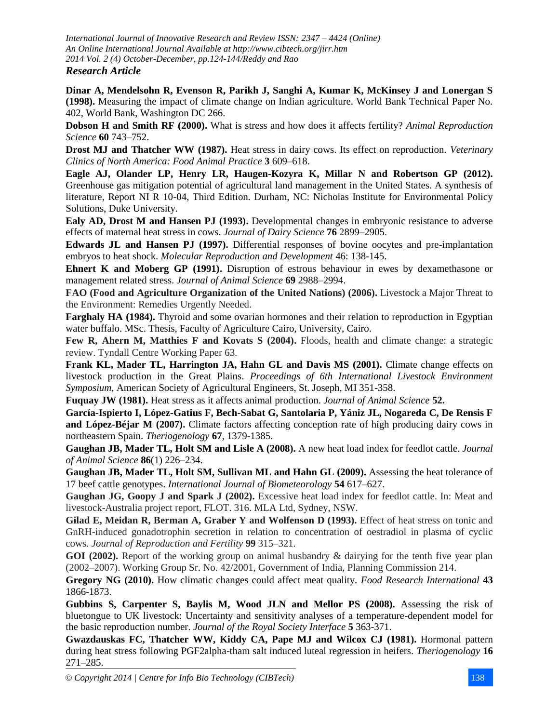*Research Article*

**Dinar A, Mendelsohn R, Evenson R, Parikh J, Sanghi A, Kumar K, McKinsey J and Lonergan S (1998).** Measuring the impact of climate change on Indian agriculture. World Bank Technical Paper No. 402, World Bank, Washington DC 266.

**Dobson H and Smith RF (2000).** What is stress and how does it affects fertility? *Animal Reproduction Science* **60** 743–752.

**Drost MJ and Thatcher WW (1987).** Heat stress in dairy cows. Its effect on reproduction. *Veterinary Clinics of North America: Food Animal Practice* **3** 609–618.

**Eagle AJ, Olander LP, Henry LR, Haugen-Kozyra K, Millar N and Robertson GP (2012).** Greenhouse gas mitigation potential of agricultural land management in the United States. A synthesis of literature, Report NI R 10-04, Third Edition. Durham, NC: Nicholas Institute for Environmental Policy Solutions, Duke University.

**Ealy AD, Drost M and Hansen PJ (1993).** Developmental changes in embryonic resistance to adverse effects of maternal heat stress in cows. *Journal of Dairy Science* **76** 2899–2905.

**Edwards JL and Hansen PJ (1997).** Differential responses of bovine oocytes and pre-implantation embryos to heat shock. *Molecular Reproduction and Development* 46: 138-145.

**Ehnert K and Moberg GP (1991).** Disruption of estrous behaviour in ewes by dexamethasone or management related stress. *Journal of Animal Science* **69** 2988–2994.

**FAO (Food and Agriculture Organization of the United Nations) (2006).** Livestock a Major Threat to the Environment: Remedies Urgently Needed.

**Farghaly HA (1984).** Thyroid and some ovarian hormones and their relation to reproduction in Egyptian water buffalo. MSc. Thesis, Faculty of Agriculture Cairo, University, Cairo.

**Few R, Ahern M, Matthies F and Kovats S (2004).** Floods, health and climate change: a strategic review. Tyndall Centre Working Paper 63.

**Frank KL, Mader TL, Harrington JA, Hahn GL and Davis MS (2001).** Climate change effects on livestock production in the Great Plains. *Proceedings of 6th International Livestock Environment Symposium*, American Society of Agricultural Engineers, St. Joseph, MI 351-358.

**Fuquay JW (1981).** Heat stress as it affects animal production. *Journal of Animal Science* **52.**

**García-Ispierto I, López-Gatius F, Bech-Sabat G, Santolaria P, Yániz JL, Nogareda C, De Rensis F and López-Béjar M (2007).** Climate factors affecting conception rate of high producing dairy cows in northeastern Spain. *Theriogenology* **67**, 1379-1385.

**Gaughan JB, Mader TL, Holt SM and Lisle A (2008).** A new heat load index for feedlot cattle. *Journal of Animal Science* **86**(1) 226–234.

**Gaughan JB, Mader TL, Holt SM, Sullivan ML and Hahn GL (2009).** Assessing the heat tolerance of 17 beef cattle genotypes. *International Journal of Biometeorology* **54** 617–627.

**Gaughan JG, Goopy J and Spark J (2002).** Excessive heat load index for feedlot cattle. In: Meat and livestock-Australia project report, FLOT. 316. MLA Ltd, Sydney, NSW.

**Gilad E, Meidan R, Berman A, Graber Y and Wolfenson D (1993).** Effect of heat stress on tonic and GnRH-induced gonadotrophin secretion in relation to concentration of oestradiol in plasma of cyclic cows. *Journal of Reproduction and Fertility* **99** 315–321.

**GOI (2002).** Report of the working group on animal husbandry & dairying for the tenth five year plan (2002–2007). Working Group Sr. No. 42/2001, Government of India, Planning Commission 214.

**Gregory NG (2010).** How climatic changes could affect meat quality. *Food Research International* **43** 1866-1873.

**Gubbins S, Carpenter S, Baylis M, Wood JLN and Mellor PS (2008).** Assessing the risk of bluetongue to UK livestock: Uncertainty and sensitivity analyses of a temperature-dependent model for the basic reproduction number. *Journal of the Royal Society Interface* **5** 363-371.

**Gwazdauskas FC, Thatcher WW, Kiddy CA, Pape MJ and Wilcox CJ (1981).** Hormonal pattern during heat stress following PGF2alpha-tham salt induced luteal regression in heifers. *Theriogenology* **16** 271–285.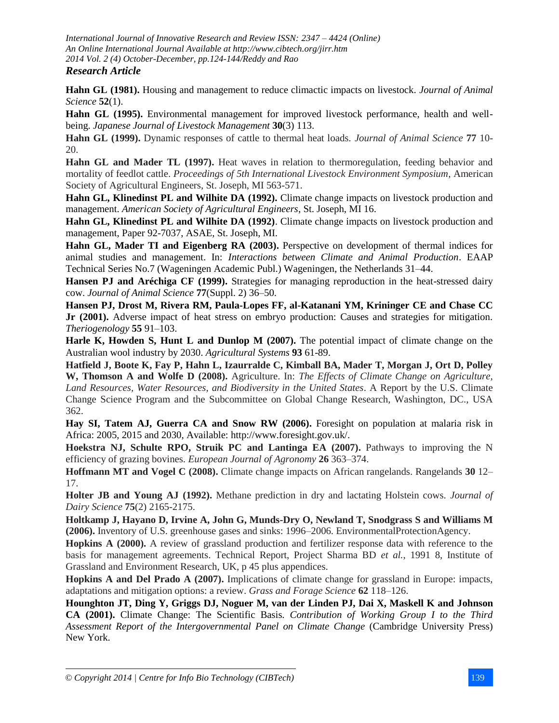### *Research Article*

**Hahn GL (1981).** Housing and management to reduce climactic impacts on livestock. *Journal of Animal Science* **52**(1).

**Hahn GL (1995).** Environmental management for improved livestock performance, health and wellbeing. *Japanese Journal of Livestock Management* **30**(3) 113.

**Hahn GL (1999).** Dynamic responses of cattle to thermal heat loads. *Journal of Animal Science* **77** 10- 20.

**Hahn GL and Mader TL (1997).** Heat waves in relation to thermoregulation, feeding behavior and mortality of feedlot cattle. *Proceedings of 5th International Livestock Environment Symposium*, American Society of Agricultural Engineers, St. Joseph, MI 563-571.

**Hahn GL, Klinedinst PL and Wilhite DA (1992).** Climate change impacts on livestock production and management. *American Society of Agricultural Engineers*, St. Joseph, MI 16.

**Hahn GL, Klinedinst PL and Wilhite DA (1992)**. Climate change impacts on livestock production and management, Paper 92-7037, ASAE, St. Joseph, MI.

**Hahn GL, Mader TI and Eigenberg RA (2003).** Perspective on development of thermal indices for animal studies and management. In: *Interactions between Climate and Animal Production*. EAAP Technical Series No.7 (Wageningen Academic Publ.) Wageningen, the Netherlands 31–44.

**Hansen PJ and Aréchiga CF (1999).** Strategies for managing reproduction in the heat-stressed dairy cow. *Journal of Animal Science* **77**(Suppl. 2) 36–50.

**Hansen PJ, Drost M, Rivera RM, Paula-Lopes FF, al-Katanani YM, Krininger CE and Chase CC Jr (2001).** Adverse impact of heat stress on embryo production: Causes and strategies for mitigation. *Theriogenology* **55** 91–103.

**Harle K, Howden S, Hunt L and Dunlop M (2007).** The potential impact of climate change on the Australian wool industry by 2030. *Agricultural Systems* **93** 61-89.

**Hatfield J, Boote K, Fay P, Hahn L, Izaurralde C, Kimball BA, Mader T, Morgan J, Ort D, Polley W, Thomson A and Wolfe D (2008).** Agriculture. In: *The Effects of Climate Change on Agriculture, Land Resources, Water Resources, and Biodiversity in the United States*. A Report by the U.S. Climate Change Science Program and the Subcommittee on Global Change Research, Washington, DC., USA 362.

**Hay SI, Tatem AJ, Guerra CA and Snow RW (2006).** Foresight on population at malaria risk in Africa: 2005, 2015 and 2030, Available: http://www.foresight.gov.uk/.

**Hoekstra NJ, Schulte RPO, Struik PC and Lantinga EA (2007).** Pathways to improving the N efficiency of grazing bovines. *European Journal of Agronomy* **26** 363–374.

**Hoffmann MT and Vogel C (2008).** Climate change impacts on African rangelands. Rangelands **30** 12– 17.

**Holter JB and Young AJ (1992).** Methane prediction in dry and lactating Holstein cows. *Journal of Dairy Science* **75**(2) 2165-2175.

**Holtkamp J, Hayano D, Irvine A, John G, Munds-Dry O, Newland T, Snodgrass S and Williams M (2006).** Inventory of U.S. greenhouse gases and sinks: 1996–2006. EnvironmentalProtectionAgency.

**Hopkins A (2000).** A review of grassland production and fertilizer response data with reference to the basis for management agreements. Technical Report, Project Sharma BD *et al.,* 1991 8, Institute of Grassland and Environment Research, UK, p 45 plus appendices.

**Hopkins A and Del Prado A (2007).** Implications of climate change for grassland in Europe: impacts, adaptations and mitigation options: a review. *Grass and Forage Science* **62** 118–126.

**Hounghton JT, Ding Y, Griggs DJ, Noguer M, van der Linden PJ, Dai X, Maskell K and Johnson CA (2001).** Climate Change: The Scientific Basis*. Contribution of Working Group I to the Third Assessment Report of the Intergovernmental Panel on Climate Change* (Cambridge University Press) New York.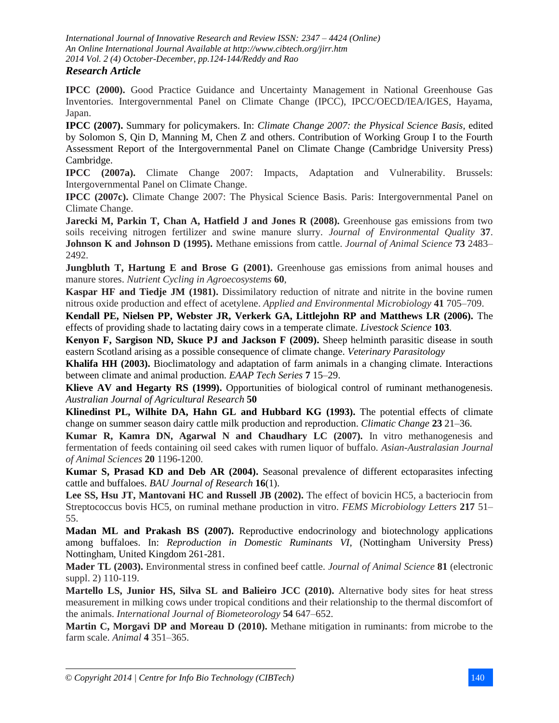### *Research Article*

**IPCC (2000).** Good Practice Guidance and Uncertainty Management in National Greenhouse Gas Inventories. Intergovernmental Panel on Climate Change (IPCC), IPCC/OECD/IEA/IGES, Hayama, Japan.

**IPCC (2007).** Summary for policymakers. In: *Climate Change 2007: the Physical Science Basis,* edited by Solomon S, Qin D, Manning M, Chen Z and others. Contribution of Working Group I to the Fourth Assessment Report of the Intergovernmental Panel on Climate Change (Cambridge University Press) Cambridge.

**IPCC (2007a).** Climate Change 2007: Impacts, Adaptation and Vulnerability. Brussels: Intergovernmental Panel on Climate Change.

**IPCC (2007c).** Climate Change 2007: The Physical Science Basis. Paris: Intergovernmental Panel on Climate Change.

**Jarecki M, Parkin T, Chan A, Hatfield J and Jones R (2008).** Greenhouse gas emissions from two soils receiving nitrogen fertilizer and swine manure slurry. *Journal of Environmental Quality* **37**. **Johnson K and Johnson D (1995).** Methane emissions from cattle. *Journal of Animal Science* **73** 2483– 2492.

**Jungbluth T, Hartung E and Brose G (2001).** Greenhouse gas emissions from animal houses and manure stores. *Nutrient Cycling in Agroecosystems* **60**,

**Kaspar HF and Tiedje JM (1981).** Dissimilatory reduction of nitrate and nitrite in the bovine rumen nitrous oxide production and effect of acetylene. *Applied and Environmental Microbiology* **41** 705–709.

**Kendall PE, Nielsen PP, Webster JR, Verkerk GA, Littlejohn RP and Matthews LR (2006).** The effects of providing shade to lactating dairy cows in a temperate climate. *Livestock Science* **103**.

**Kenyon F, Sargison ND, Skuce PJ and Jackson F (2009).** Sheep helminth parasitic disease in south eastern Scotland arising as a possible consequence of climate change. *Veterinary Parasitology*

**Khalifa HH (2003).** Bioclimatology and adaptation of farm animals in a changing climate. Interactions between climate and animal production. *EAAP Tech Series* **7** 15–29.

**Klieve AV and Hegarty RS (1999).** Opportunities of biological control of ruminant methanogenesis. *Australian Journal of Agricultural Research* **50**

**Klinedinst PL, Wilhite DA, Hahn GL and Hubbard KG (1993).** The potential effects of climate change on summer season dairy cattle milk production and reproduction. *Climatic Change* **23** 21–36.

**Kumar R, Kamra DN, Agarwal N and Chaudhary LC (2007).** In vitro methanogenesis and fermentation of feeds containing oil seed cakes with rumen liquor of buffalo. *Asian-Australasian Journal of Animal Sciences* **20** 1196-1200.

**Kumar S, Prasad KD and Deb AR (2004).** Seasonal prevalence of different ectoparasites infecting cattle and buffaloes. *BAU Journal of Research* **16**(1).

**Lee SS, Hsu JT, Mantovani HC and Russell JB (2002).** The effect of bovicin HC5, a bacteriocin from Streptococcus bovis HC5, on ruminal methane production in vitro. *FEMS Microbiology Letters* **217** 51– 55.

**Madan ML and Prakash BS (2007).** Reproductive endocrinology and biotechnology applications among buffaloes. In: *Reproduction in Domestic Ruminants VI*, (Nottingham University Press) Nottingham, United Kingdom 261-281.

**Mader TL (2003).** Environmental stress in confined beef cattle. *Journal of Animal Science* **81** (electronic suppl. 2) 110-119.

**Martello LS, Junior HS, Silva SL and Balieiro JCC (2010).** Alternative body sites for heat stress measurement in milking cows under tropical conditions and their relationship to the thermal discomfort of the animals. *International Journal of Biometeorology* **54** 647–652.

**Martin C, Morgavi DP and Moreau D (2010).** Methane mitigation in ruminants: from microbe to the farm scale. *Animal* **4** 351–365.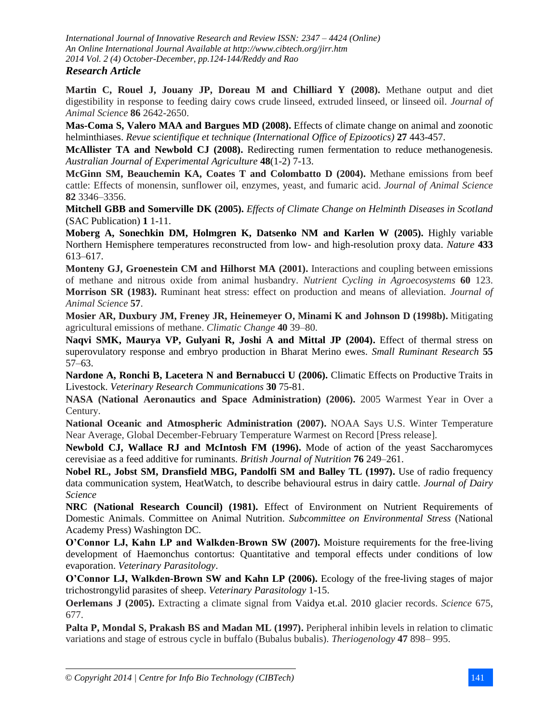### *Research Article*

**Martin C, Rouel J, Jouany JP, Doreau M and Chilliard Y (2008).** Methane output and diet digestibility in response to feeding dairy cows crude linseed, extruded linseed, or linseed oil. *Journal of Animal Science* **86** 2642-2650.

**Mas-Coma S, Valero MAA and Bargues MD (2008).** Effects of climate change on animal and zoonotic helminthiases. *Revue scientifique et technique (International Office of Epizootics)* **27** 443-457.

**McAllister TA and Newbold CJ (2008).** Redirecting rumen fermentation to reduce methanogenesis. *Australian Journal of Experimental Agriculture* **48**(1-2) 7-13.

**McGinn SM, Beauchemin KA, Coates T and Colombatto D (2004).** Methane emissions from beef cattle: Effects of monensin, sunflower oil, enzymes, yeast, and fumaric acid. *Journal of Animal Science* **82** 3346–3356.

**Mitchell GBB and Somerville DK (2005).** *Effects of Climate Change on Helminth Diseases in Scotland* (SAC Publication) **1** 1-11.

**Moberg A, Sonechkin DM, Holmgren K, Datsenko NM and Karlen W (2005).** Highly variable Northern Hemisphere temperatures reconstructed from low- and high-resolution proxy data. *Nature* **433** 613–617.

**Monteny GJ, Groenestein CM and Hilhorst MA (2001).** Interactions and coupling between emissions of methane and nitrous oxide from animal husbandry. *Nutrient Cycling in Agroecosystems* **60** 123. **Morrison SR (1983).** Ruminant heat stress: effect on production and means of alleviation. *Journal of Animal Science* **57**.

**Mosier AR, Duxbury JM, Freney JR, Heinemeyer O, Minami K and Johnson D (1998b).** Mitigating agricultural emissions of methane. *Climatic Change* **40** 39–80.

**Naqvi SMK, Maurya VP, Gulyani R, Joshi A and Mittal JP (2004).** Effect of thermal stress on superovulatory response and embryo production in Bharat Merino ewes. *Small Ruminant Research* **55** 57–63.

**Nardone A, Ronchi B, Lacetera N and Bernabucci U (2006).** Climatic Effects on Productive Traits in Livestock. *Veterinary Research Communications* **30** 75-81.

**NASA (National Aeronautics and Space Administration) (2006).** 2005 Warmest Year in Over a Century.

**National Oceanic and Atmospheric Administration (2007).** NOAA Says U.S. Winter Temperature Near Average, Global December-February Temperature Warmest on Record [Press release].

**Newbold CJ, Wallace RJ and McIntosh FM (1996).** Mode of action of the yeast Saccharomyces cerevisiae as a feed additive for ruminants. *British Journal of Nutrition* **76** 249–261.

**Nobel RL, Jobst SM, Dransfield MBG, Pandolfi SM and Balley TL (1997).** Use of radio frequency data communication system, HeatWatch, to describe behavioural estrus in dairy cattle. *Journal of Dairy Science*

**NRC (National Research Council) (1981).** Effect of Environment on Nutrient Requirements of Domestic Animals. Committee on Animal Nutrition. *Subcommittee on Environmental Stress* (National Academy Press) Washington DC.

**O'Connor LJ, Kahn LP and Walkden-Brown SW (2007).** Moisture requirements for the free-living development of Haemonchus contortus: Quantitative and temporal effects under conditions of low evaporation. *Veterinary Parasitology*.

**O'Connor LJ, Walkden-Brown SW and Kahn LP (2006).** Ecology of the free-living stages of major trichostrongylid parasites of sheep. *Veterinary Parasitology* 1-15.

**Oerlemans J (2005).** Extracting a climate signal from Vaidya et.al. 2010 glacier records. *Science* 675, 677.

**Palta P, Mondal S, Prakash BS and Madan ML (1997).** Peripheral inhibin levels in relation to climatic variations and stage of estrous cycle in buffalo (Bubalus bubalis). *Theriogenology* **47** 898– 995.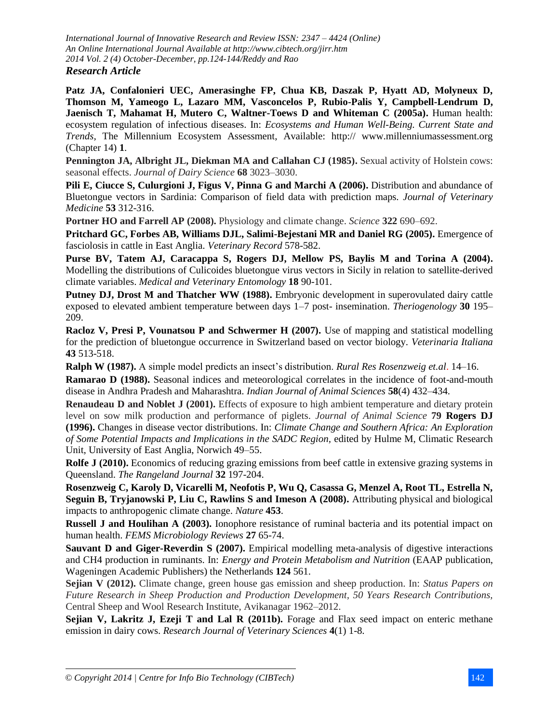**Patz JA, Confalonieri UEC, Amerasinghe FP, Chua KB, Daszak P, Hyatt AD, Molyneux D, Thomson M, Yameogo L, Lazaro MM, Vasconcelos P, Rubio-Palis Y, Campbell-Lendrum D, Jaenisch T, Mahamat H, Mutero C, Waltner-Toews D and Whiteman C (2005a).** Human health: ecosystem regulation of infectious diseases. In: *Ecosystems and Human Well-Being. Current State and Trends,* The Millennium Ecosystem Assessment, Available: http:// www.millenniumassessment.org (Chapter 14) **1**.

**Pennington JA, Albright JL, Diekman MA and Callahan CJ (1985).** Sexual activity of Holstein cows: seasonal effects. *Journal of Dairy Science* **68** 3023–3030.

**Pili E, Ciucce S, Culurgioni J, Figus V, Pinna G and Marchi A (2006).** Distribution and abundance of Bluetongue vectors in Sardinia: Comparison of field data with prediction maps. *Journal of Veterinary Medicine* **53** 312-316.

**Portner HO and Farrell AP (2008).** Physiology and climate change. *Science* **322** 690–692.

**Pritchard GC, Forbes AB, Williams DJL, Salimi-Bejestani MR and Daniel RG (2005).** Emergence of fasciolosis in cattle in East Anglia. *Veterinary Record* 578-582.

**Purse BV, Tatem AJ, Caracappa S, Rogers DJ, Mellow PS, Baylis M and Torina A (2004).** Modelling the distributions of Culicoides bluetongue virus vectors in Sicily in relation to satellite-derived climate variables. *Medical and Veterinary Entomology* **18** 90-101.

**Putney DJ, Drost M and Thatcher WW (1988).** Embryonic development in superovulated dairy cattle exposed to elevated ambient temperature between days 1–7 post- insemination. *Theriogenology* **30** 195– 209.

**Racloz V, Presi P, Vounatsou P and Schwermer H (2007).** Use of mapping and statistical modelling for the prediction of bluetongue occurrence in Switzerland based on vector biology. *Veterinaria Italiana* **43** 513-518.

**Ralph W (1987).** A simple model predicts an insect's distribution. *Rural Res Rosenzweig et.al*. 14–16.

**Ramarao D (1988).** Seasonal indices and meteorological correlates in the incidence of foot-and-mouth disease in Andhra Pradesh and Maharashtra. *Indian Journal of Animal Sciences* **58**(4) 432–434.

**Renaudeau D and Noblet J (2001).** Effects of exposure to high ambient temperature and dietary protein level on sow milk production and performance of piglets. *Journal of Animal Science* **79 Rogers DJ (1996).** Changes in disease vector distributions. In: *Climate Change and Southern Africa: An Exploration of Some Potential Impacts and Implications in the SADC Region,* edited by Hulme M, Climatic Research Unit, University of East Anglia, Norwich 49–55.

**Rolfe J (2010).** Economics of reducing grazing emissions from beef cattle in extensive grazing systems in Queensland. *The Rangeland Journal* **32** 197-204.

**Rosenzweig C, Karoly D, Vicarelli M, Neofotis P, Wu Q, Casassa G, Menzel A, Root TL, Estrella N, Seguin B, Tryjanowski P, Liu C, Rawlins S and Imeson A (2008).** Attributing physical and biological impacts to anthropogenic climate change. *Nature* **453**.

**Russell J and Houlihan A (2003).** Ionophore resistance of ruminal bacteria and its potential impact on human health. *FEMS Microbiology Reviews* **27** 65-74.

**Sauvant D and Giger-Reverdin S (2007).** Empirical modelling meta-analysis of digestive interactions and CH4 production in ruminants. In: *Energy and Protein Metabolism and Nutrition* (EAAP publication, Wageningen Academic Publishers) the Netherlands **124** 561.

**Sejian V (2012).** Climate change, green house gas emission and sheep production. In: *Status Papers on Future Research in Sheep Production and Production Development, 50 Years Research Contributions,* Central Sheep and Wool Research Institute, Avikanagar 1962–2012.

**Sejian V, Lakritz J, Ezeji T and Lal R (2011b).** Forage and Flax seed impact on enteric methane emission in dairy cows. *Research Journal of Veterinary Sciences* **4**(1) 1-8.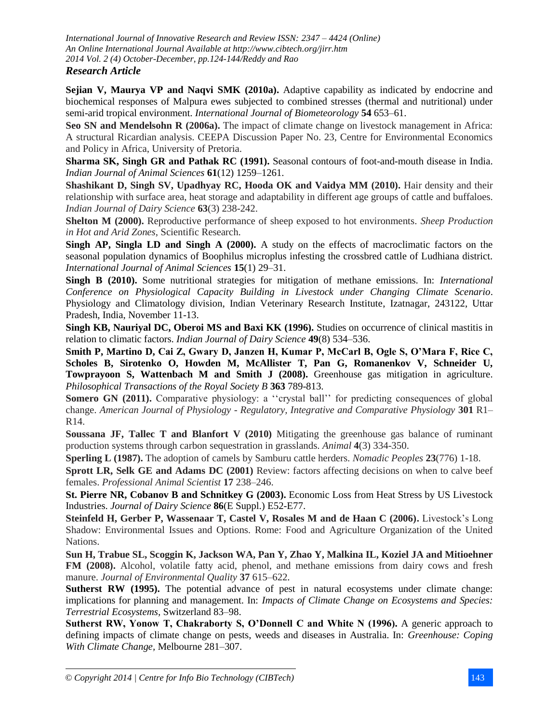### *Research Article*

**Sejian V, Maurya VP and Naqvi SMK (2010a).** Adaptive capability as indicated by endocrine and biochemical responses of Malpura ewes subjected to combined stresses (thermal and nutritional) under semi-arid tropical environment. *International Journal of Biometeorology* **54** 653–61.

**Seo SN and Mendelsohn R (2006a).** The impact of climate change on livestock management in Africa: A structural Ricardian analysis. CEEPA Discussion Paper No. 23, Centre for Environmental Economics and Policy in Africa, University of Pretoria.

**Sharma SK, Singh GR and Pathak RC (1991).** Seasonal contours of foot-and-mouth disease in India. *Indian Journal of Animal Sciences* **61**(12) 1259–1261.

**Shashikant D, Singh SV, Upadhyay RC, Hooda OK and Vaidya MM (2010).** Hair density and their relationship with surface area, heat storage and adaptability in different age groups of cattle and buffaloes. *Indian Journal of Dairy Science* **63**(3) 238-242.

**Shelton M (2000).** Reproductive performance of sheep exposed to hot environments. *Sheep Production in Hot and Arid Zones*, Scientific Research.

**Singh AP, Singla LD and Singh A (2000).** A study on the effects of macroclimatic factors on the seasonal population dynamics of Boophilus microplus infesting the crossbred cattle of Ludhiana district. *International Journal of Animal Sciences* **15**(1) 29–31.

**Singh B (2010).** Some nutritional strategies for mitigation of methane emissions. In: *International Conference on Physiological Capacity Building in Livestock under Changing Climate Scenario*. Physiology and Climatology division, Indian Veterinary Research Institute, Izatnagar, 243122, Uttar Pradesh, India, November 11-13.

**Singh KB, Nauriyal DC, Oberoi MS and Baxi KK (1996).** Studies on occurrence of clinical mastitis in relation to climatic factors. *Indian Journal of Dairy Science* **49**(8) 534–536.

**Smith P, Martino D, Cai Z, Gwary D, Janzen H, Kumar P, McCarl B, Ogle S, O'Mara F, Rice C, Scholes B, Sirotenko O, Howden M, McAllister T, Pan G, Romanenkov V, Schneider U, Towprayoon S, Wattenbach M and Smith J (2008).** Greenhouse gas mitigation in agriculture. *Philosophical Transactions of the Royal Society B* **363** 789-813.

**Somero GN (2011).** Comparative physiology: a "crystal ball" for predicting consequences of global change. *American Journal of Physiology - Regulatory, Integrative and Comparative Physiology* **301** R1– R14.

**Soussana JF, Tallec T and Blanfort V (2010)** Mitigating the greenhouse gas balance of ruminant production systems through carbon sequestration in grasslands. *Animal* **4**(3) 334-350.

**Sperling L (1987).** The adoption of camels by Samburu cattle herders. *Nomadic Peoples* **23**(776) 1-18.

**Sprott LR, Selk GE and Adams DC (2001)** Review: factors affecting decisions on when to calve beef females. *Professional Animal Scientist* **17** 238–246.

**St. Pierre NR, Cobanov B and Schnitkey G (2003).** Economic Loss from Heat Stress by US Livestock Industries. *Journal of Dairy Science* **86**(E Suppl.) E52-E77.

**Steinfeld H, Gerber P, Wassenaar T, Castel V, Rosales M and de Haan C (2006).** Livestock's Long Shadow: Environmental Issues and Options. Rome: Food and Agriculture Organization of the United Nations.

**Sun H, Trabue SL, Scoggin K, Jackson WA, Pan Y, Zhao Y, Malkina IL, Koziel JA and Mitioehner FM (2008).** Alcohol, volatile fatty acid, phenol, and methane emissions from dairy cows and fresh manure. *Journal of Environmental Quality* **37** 615–622.

**Sutherst RW (1995).** The potential advance of pest in natural ecosystems under climate change: implications for planning and management. In: *Impacts of Climate Change on Ecosystems and Species: Terrestrial Ecosystems,* Switzerland 83–98.

**Sutherst RW, Yonow T, Chakraborty S, O'Donnell C and White N (1996).** A generic approach to defining impacts of climate change on pests, weeds and diseases in Australia. In: *Greenhouse: Coping With Climate Change,* Melbourne 281–307.